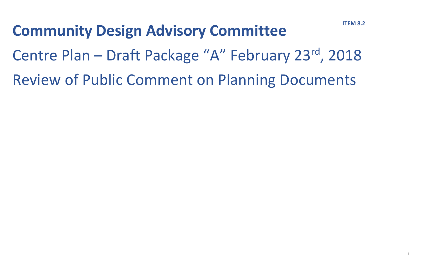**Community Design Advisory Committee** Centre Plan – Draft Package "A" February 23rd, 2018 Review of Public Comment on Planning Documents

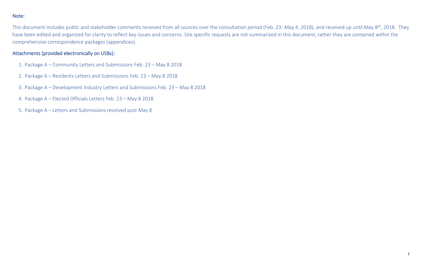### Note:

This document includes public and stakeholder comments received from all sources over the consultation period (Feb. 23- May 4, 2018), and received up until May 8<sup>th</sup>, 2018. They have been edited and organized for clarity to reflect key issues and concerns. Site specific requests are not summarized in this document, rather they are contained within the comprehensive correspondence packages (appendices).

### Attachments (provided electronically on USBs):

- 1. Package A Community Letters and Submissions Feb. 23 May 8 2018
- 2. Package A Residents Letters and Submissions Feb. 23 May 8 2018
- 3. Package A Development Industry Letters and Submissions Feb. 23 May 8 2018
- 4. Package A Elected Officials Letters Feb. 23 May 8 2018
- 5. Package A Letters and Submissions received post May 8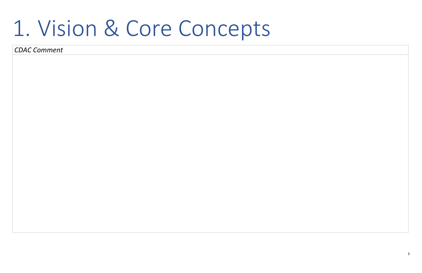3

# 1. Vision & Core Concepts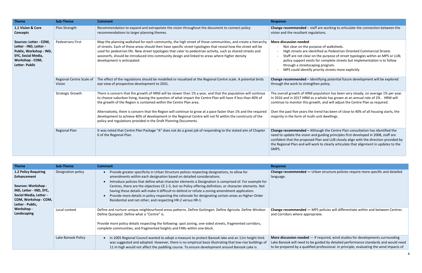**Change recommended –** Although the Centre Plan consultation has identified the and guiding principles first developed in 2008, staff are ed Plan and LUB closely align with the direction provided by I work to clearly articulate that alignment in updates to the

**Urban structure policies require more specific and detailed** 

**MPS policies will differentiate within and between Centres** ropriate.

 $-$  If required, wind studies for developments surrounding be guided by detailed performance standards and would need fied professional. In principle, evaluating the wind impacts of

| <b>Theme</b>                                                                                                                                 | <b>Sub-Theme</b>                   | <b>Comment</b>                                                                                                                                                                                                                                                                                                                                                                                                                                                                | <b>Response</b>                                                                                                                                            |
|----------------------------------------------------------------------------------------------------------------------------------------------|------------------------------------|-------------------------------------------------------------------------------------------------------------------------------------------------------------------------------------------------------------------------------------------------------------------------------------------------------------------------------------------------------------------------------------------------------------------------------------------------------------------------------|------------------------------------------------------------------------------------------------------------------------------------------------------------|
| 1.1 Vision & Core<br><b>Concepts</b>                                                                                                         | Plan Strength                      | Recommendation to expand and extrapolate the vision throughout the document to connect policy<br>recommendations to larger planning themes.                                                                                                                                                                                                                                                                                                                                   | Change recommended -<br>vision and the resultant re                                                                                                        |
| Sources: Letter - COM,<br>Letter - IND, Letter -<br>Public, Workshop - IND,<br>SYC, Social Media,<br>Workshop - COM,<br><b>Letter-Public</b> | <b>Pedestrians First</b>           | Map the planning walkshed for each community, the high street of those communities, and create a hierarchy<br>of streets. Each of these areas should then have specific street typologies that reveal how the street will be<br>used for pedestrian life. New street typologies that cater to pedestrian activity, such as shared streets and<br>woonerfs, should be introduced into community design and linked to areas where higher density<br>development is anticipated. | More discussion needed<br>Not clear on the p<br>High streets are io<br>Staff are not clear<br>policy support exi<br>through a streets<br>MPS could identif |
|                                                                                                                                              | Regional Centre Scale of<br>Vision | The effect of the regulations should be modelled or visualized at the Regional Centre scale. A potential birds<br>eye view of prospective development to 2031.                                                                                                                                                                                                                                                                                                                | Change recommended -<br>through the work to strer                                                                                                          |
|                                                                                                                                              | <b>Strategic Growth</b>            | There is concern that the growth of HRM will be slower than 1% a year, and that the population will continue<br>to choose suburban living, leaving the question of what impact the Centre Plan will have if less than 40% of<br>the growth of the Region is contained within the Centre Plan area.                                                                                                                                                                            | The overall growth of HRI<br>In 2016 and in 2017 HRM<br>continue to monitor this                                                                           |
|                                                                                                                                              |                                    | Alternatively, there is concern that the Region will continue to grow at a pace faster than 1% and the required<br>development to achieve 40% of development in the Regional Centre will not fit within the constructs of the<br>policy and regulations provided in the Draft Planning Documents.                                                                                                                                                                             | Over the past five years tl<br>majority in the form of m                                                                                                   |
|                                                                                                                                              | <b>Regional Plan</b>               | It was noted that Centre Plan Package "A" does not do a great job of responding to the stated aim of Chapter<br>6 of the Regional Plan.                                                                                                                                                                                                                                                                                                                                       | Change recommended -<br>need to update the vision<br>confident that the propos<br>the Regional Plan and will<br>SMPS.                                      |

| <b>Theme</b>                                                                                                                                                              | <b>Sub-Theme</b>   | <b>Comment</b>                                                                                                                                                                                                                                                                                                                                                                                                                                                                                                                                                                                                                                                      | <b>Response</b>                                                                  |
|---------------------------------------------------------------------------------------------------------------------------------------------------------------------------|--------------------|---------------------------------------------------------------------------------------------------------------------------------------------------------------------------------------------------------------------------------------------------------------------------------------------------------------------------------------------------------------------------------------------------------------------------------------------------------------------------------------------------------------------------------------------------------------------------------------------------------------------------------------------------------------------|----------------------------------------------------------------------------------|
| <b>1.2 Policy Requiring</b><br><b>Enhancement</b><br>Sources: Workshop -<br>IND, Letter - IND, SYC,<br>Social Media, Letter -<br>COM, Workshop - COM,<br>Letter - Public, | Designation policy | Provide greater specificity in Urban Structure polices respecting designations, to allow for<br>amendments within each designation based on detailed considerations.<br>Introduce policies that define what character elements a Designation is comprised of. For example for<br>Centres, there are the objectives CE 1-5, but no Policy offering definition, or character elements. Not<br>having these details will make it difficult to defend or refute a zoning amendment application.<br>Provide more details in policy respecting the rationale for designating certain areas as Higher-Order<br>Residential and not other, and respecting HR-2 versus HR-1. | Change recommended -<br>language.                                                |
| Workshop -<br>Landscaping                                                                                                                                                 | Local context      | Define and nurture unique neighbourhood areas patterns. Define Gottingen. Define Agricola. Define Windsor.<br>Define Quinpool. Define what a "Centre" is.<br>Provide more policy details respecting the following: spot zoning, one-sided streets, fragmented corridors,<br>complete communities, and fragmented heights and FARs within one block.                                                                                                                                                                                                                                                                                                                 | Change recommended -<br>and Corridors where appr                                 |
|                                                                                                                                                                           | Lake Banook Policy | In 2005 Regional Council wanted to adopt a measure to protect Banook lake and an 11m height limit<br>was suggested and adopted. However, there is no empirical basis illustrating that low-rise buildings of<br>11 m high would not affect the paddling course. To ensure development around Banook Lake is                                                                                                                                                                                                                                                                                                                                                         | More discussion needed<br>Lake Banook will need to<br>to be prepared by a qualif |

staff are working to articulate the connection between the egulations.

purpose of walksheds.

dentified as Pedestrian Oriented Commercial Streets

r on the purpose of street typologies within an MPS or LUB;

cists for complete streets but implementation is to follow scaping program.

fy priority streets more explicitly

Identifying potential future development will be explored igthen policy.

M population has been very steady, on average 1% per year. I as a whole has grown at an annual rate of 2% . HRM will growth, and will adjust the Centre Plan as required.

he trend has been of close to 40% of all housing starts, the nulti-unit dwellings.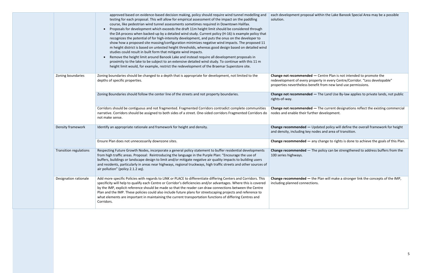|                               | approved based on evidence-based decision making, policy should require wind tunnel modelling and<br>testing for each proposal. This will allow for empirical assessment of the impact on the paddling<br>course, like pedestrian wind tunnel assessments sometimes required in Downtown Halifax.<br>Proposals for development which exceeds the draft 11m height limit should be considered through<br>$\bullet$<br>the DA process when backed-up by a detailed wind study. Current policy (H-16) is example policy that<br>recognizes the potential of for high-intensity development, and puts the onus on the developer to<br>show how a proposed site massing/configuration minimizes negative wind impacts. The proposed 11<br>m height district is based on untested height thresholds, whereas good design based on detailed wind<br>studies could result in built form that mitigate wind impacts.<br>Remove the height limit around Banook Lake and instead require all development proposals in<br>proximity to the lake to be subject to an extensive detailed wind study. To continue with this 11 m<br>height limit would, for example, restrict the redevelopment of the Braemar Superstore site. | each development propos<br>solution.                                                  |
|-------------------------------|------------------------------------------------------------------------------------------------------------------------------------------------------------------------------------------------------------------------------------------------------------------------------------------------------------------------------------------------------------------------------------------------------------------------------------------------------------------------------------------------------------------------------------------------------------------------------------------------------------------------------------------------------------------------------------------------------------------------------------------------------------------------------------------------------------------------------------------------------------------------------------------------------------------------------------------------------------------------------------------------------------------------------------------------------------------------------------------------------------------------------------------------------------------------------------------------------------------|---------------------------------------------------------------------------------------|
| Zoning boundaries             | Zoning boundaries should be changed to a depth that is appropriate for development, not limited to the<br>depths of specific properties.                                                                                                                                                                                                                                                                                                                                                                                                                                                                                                                                                                                                                                                                                                                                                                                                                                                                                                                                                                                                                                                                         | <b>Change not recommende</b><br>redevelopment of every p<br>properties nevertheless b |
|                               | Zoning Boundaries should follow the center line of the streets and not property boundaries.                                                                                                                                                                                                                                                                                                                                                                                                                                                                                                                                                                                                                                                                                                                                                                                                                                                                                                                                                                                                                                                                                                                      | <b>Change not recommende</b><br>rights-of-way.                                        |
|                               | Corridors should be contiguous and not fragmented. Fragmented Corridors contradict complete communities<br>narrative. Corridors should be assigned to both sides of a street. One-sided corridors Fragmented Corridors do<br>not make sense.                                                                                                                                                                                                                                                                                                                                                                                                                                                                                                                                                                                                                                                                                                                                                                                                                                                                                                                                                                     | Change not recommende<br>nodes and enable their fu                                    |
| Density framework             | Identify an appropriate rationale and framework for height and density.                                                                                                                                                                                                                                                                                                                                                                                                                                                                                                                                                                                                                                                                                                                                                                                                                                                                                                                                                                                                                                                                                                                                          | Change recommended -<br>and density, including key                                    |
|                               | Ensure Plan does not unnecessarily downzone sites.                                                                                                                                                                                                                                                                                                                                                                                                                                                                                                                                                                                                                                                                                                                                                                                                                                                                                                                                                                                                                                                                                                                                                               | Change recommended -                                                                  |
| <b>Transition regulations</b> | Respecting Future Growth Nodes, incorporate a general policy statement to buffer residential developments<br>from high traffic areas. Proposal: Reintroducing the language in the Purple Plan: "Encourage the use of<br>buffers, buildings or landscape design to limit and/or mitigate negative air quality impacts to building users<br>and residents, particularly in areas near highways, regional truckways, high traffic streets and other sources of<br>air pollution" (policy 2.1.2 aq).                                                                                                                                                                                                                                                                                                                                                                                                                                                                                                                                                                                                                                                                                                                 | Change recommended -<br>100 series highways.                                          |
| Designation rationale         | Add more specific Policies with regards to LINK or PLACE to differentiate differing Centers and Corridors. This<br>specificity will help to qualify each Centre or Corridor's deficiencies and/or advantages. Where this is covered<br>by the IMP, explicit reference should be made so that the reader can draw connections between the Centre<br>Plan and the IMP. These policies could also include future plans for streetscaping projects and reference to<br>what elements are important in maintaining the current transportation functions of differing Centres and<br>Corridors.                                                                                                                                                                                                                                                                                                                                                                                                                                                                                                                                                                                                                        | Change recommended -<br>including planned connec                                      |
|                               |                                                                                                                                                                                                                                                                                                                                                                                                                                                                                                                                                                                                                                                                                                                                                                                                                                                                                                                                                                                                                                                                                                                                                                                                                  |                                                                                       |

sal within the Lake Banook Special Area may be a possible

**ed** — Centre Plan is not intended to promote the property in every Centre/Corridor. "Less developable" penefit from new land use permissions.

**ed —** The Land Use By-law applies to private lands, not public

**ed —** The current designations reflect the existing commercial urther development.

- Updated policy will define the overall framework for height  $\alpha$  nodes and area of transition.

- any change to rights is done to achieve the goals of this Plan.

- The policy can be strengthened to address buffers from the

- the Plan will make a stronger link the concepts of the IMP, ctions.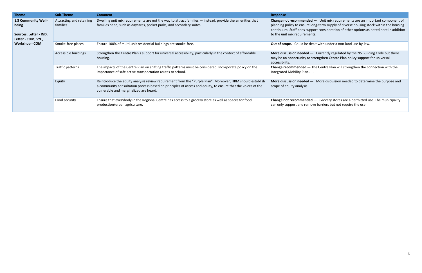| <b>Theme</b>                                                                 | <b>Sub-Theme</b>                     | <b>Comment</b>                                                                                                                                                                                                                                                     | <b>Response</b>                                                                                                          |
|------------------------------------------------------------------------------|--------------------------------------|--------------------------------------------------------------------------------------------------------------------------------------------------------------------------------------------------------------------------------------------------------------------|--------------------------------------------------------------------------------------------------------------------------|
| 1.3 Community Well-<br>being<br>Sources: Letter - IND,<br>Letter - COM, SYC, | Attracting and retaining<br>families | Dwelling unit mix requirements are not the way to attract families — instead, provide the amenities that<br>families need, such as daycares, pocket parks, and secondary suites.                                                                                   | Change not recommended -<br>planning policy to ensure lor<br>continuum. Staff does suppo<br>to the unit mix requirements |
| <b>Workshop - COM</b>                                                        | Smoke-free places                    | Ensure 100% of multi-unit residential buildings are smoke-free.                                                                                                                                                                                                    | <b>Out of scope.</b> Could be dea                                                                                        |
|                                                                              | Accessible buildings                 | Strengthen the Centre Plan's support for universal accessibility, particularly in the context of affordable<br>housing.                                                                                                                                            | More discussion needed -<br>may be an opportunity to sti<br>accessibility.                                               |
|                                                                              | Traffic patterns                     | The impacts of the Centre Plan on shifting traffic patterns must be considered. Incorporate policy on the<br>importance of safe active transportation routes to school.                                                                                            | Change recommended - Th<br>Integrated Mobility Plan                                                                      |
|                                                                              | Equity                               | Reintroduce the equity analysis review requirement from the "Purple Plan". Moreover, HRM should establish<br>a community consultation process based on principles of access and equity, to ensure that the voices of the<br>vulnerable and marginalized are heard. | More discussion needed -<br>scope of equity analysis.                                                                    |
|                                                                              | Food security                        | Ensure that everybody in the Regional Centre has access to a grocery store as well as spaces for food<br>production/urban agriculture.                                                                                                                             | Change not recommended -<br>can only support and remov                                                                   |

**Change 1** Unit mix requirements are an important component of plong-term supply of diverse housing stock within the housing pport consideration of other options as noted here in addition ents.

Smokester places and alties that the statential buildings and setting and the dealt with under a non-land use by-law.

 $\blacksquare$  Currently regulated by the NS Building Code but there strengthen Centre Plan policy support for universal

**The Centre Plan will strengthen the connection with the** 

**More discussion needed —** More discussion needed to determine the purpose and

**ed** — Grocery stores are a permitted use. The municipality nove barriers but not require the use.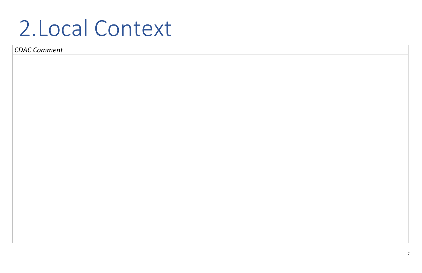7

### 2.Local Context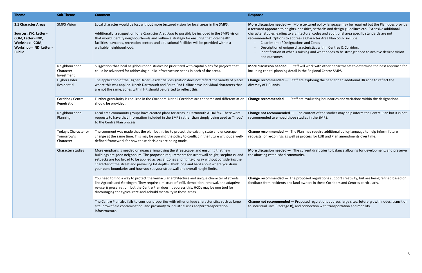**More discussion needed —** More textured policy language may be required but the Plan does provide s, setbacks and design guidelines etc. Extensive additional al codes and additional area specific standards are not

- aracter Area Plan could include:
- Zones
- stics within Centres & Corridors
- and what needs to be strengthened to achieve desired vision

**Drk with other departments to determine the best approach for** egional Centre SMPS.

loring the need for an additional HR zone to reflect the

luating boundaries and variations within the designations.

ent of the studies may help inform the Centre Plan but it is not n the SMPS.

**Lange require additional policy language to help inform future** ss for LUB and Plan amendments over time.

t draft tries to balance allowing for development, and preserve

**Change recommended —** The proposed regulations support creativity, but are being refined based on rs in these Corridors and Centres particularly.

regulations address large sites, future growth nodes, transition ection with transportation and mobility.

| <b>Theme</b>                                                                                                                        | <b>Sub-Theme</b>                                | <b>Comment</b>                                                                                                                                                                                                                                                                                                                                                                                                                                                             | <b>Response</b>                                                                                                                                                                                                                                                                                     |
|-------------------------------------------------------------------------------------------------------------------------------------|-------------------------------------------------|----------------------------------------------------------------------------------------------------------------------------------------------------------------------------------------------------------------------------------------------------------------------------------------------------------------------------------------------------------------------------------------------------------------------------------------------------------------------------|-----------------------------------------------------------------------------------------------------------------------------------------------------------------------------------------------------------------------------------------------------------------------------------------------------|
| 2.1 Character Areas<br>Sources: SYC, Letter -<br>COM, Letter - IND,<br>Workshop - COM,<br>Workshop - IND, Letter -<br><b>Public</b> | <b>SMPS Vision</b>                              | Local character would be lost without more textured vision for local areas in the SMPS.<br>Additionally, a suggestion for a Character Area Plan to possibly be included in the SMPS vision<br>that would identify neighbourhoods and outline a strategy for ensuring that local health<br>facilities, daycares, recreation centers and educational facilities will be provided within a<br>walkable neighbourhood.                                                         | More discussion needed - More textu<br>a textured approach to heights, densities<br>character studies leading to architectura<br>recommended. Options to address a Cha<br>Clear intent of Designations and<br>Description of unique characteri<br>Identification of what is missing<br>and outcomes |
|                                                                                                                                     | Neighbourhood<br>Character -<br>Investment      | Suggestion that local neighbourhood studies be prioritized with capital plans for projects that<br>could be advanced for addressing public infrastructure needs in each of the areas.                                                                                                                                                                                                                                                                                      | More discussion needed - Staff will wo<br>including capital planning detail in the Re                                                                                                                                                                                                               |
|                                                                                                                                     | Higher Order<br>Residential                     | The application of the Higher Order Residential designation does not reflect the variety of places<br>where this was applied. North Dartmouth and South End Halifax have individual characters that<br>are not the same, zones within HR should be drafted to reflect this.                                                                                                                                                                                                | <b>Change recommended <math>-</math></b> Staff are $exp$<br>diversity of HR lands.                                                                                                                                                                                                                  |
|                                                                                                                                     | Corridor / Centre<br>Penetration                | Further granularity is required in the Corridors. Not all Corridors are the same and differentiation<br>should be provided.                                                                                                                                                                                                                                                                                                                                                | Change recommended - Staff are eval                                                                                                                                                                                                                                                                 |
|                                                                                                                                     | Neighbourhood<br>Planning                       | Local area community groups have created plans for areas in Dartmouth & Halifax. There were<br>requests to have that information included in the SMPS rather than simply being used as "input"<br>to the Centre Plan process.                                                                                                                                                                                                                                              | Change not recommended - The cont<br>recommended to embed those studies in                                                                                                                                                                                                                          |
|                                                                                                                                     | Today's Character or<br>Tomorrow's<br>Character | The comment was made that the plan both tries to protect the existing state and encourage<br>change at the same time. This may be opening the policy to conflict in the future without a well-<br>defined framework for how these decisions are being made.                                                                                                                                                                                                                | <b>Change recommended</b> $-$ The Plan may<br>requests for re-zonings as well as proces                                                                                                                                                                                                             |
|                                                                                                                                     | Character studies                               | More emphasis is needed on nuance, improving the streetscape, and ensuring that new<br>buildings are good neighbours. The proposed requirements for streetwall height, stepbacks, and<br>setbacks are too broad to be applied across all zones and rights-of-way without considering the<br>character of the street and prevailing lot depths. Think long and hard about where you draw<br>your zone boundaries and how you set your streetwall and overall height limits. | More discussion needed - The current<br>the abutting established community.                                                                                                                                                                                                                         |
|                                                                                                                                     |                                                 | You need to find a way to protect the vernacular architecture and unique character of streets<br>like Agricola and Gottingen. They require a mixture of infill, demolition, renewal, and adaptive<br>re-use & preservation, but the Centre Plan doesn't address this. HCDs may be one tool for<br>discouraging the typical raze-and-rebuild mentality in these areas.                                                                                                      | <b>Change recommended</b> $-$ The proposed<br>feedback from residents and land owner                                                                                                                                                                                                                |
|                                                                                                                                     |                                                 | The Centre Plan also fails to consider properties with other unique characteristics such as large<br>size, brownfield contamination, and proximity to industrial uses and/or transportation<br>infrastructure.                                                                                                                                                                                                                                                             | Change not recommended - Proposed<br>to industrial uses (Package B), and conne                                                                                                                                                                                                                      |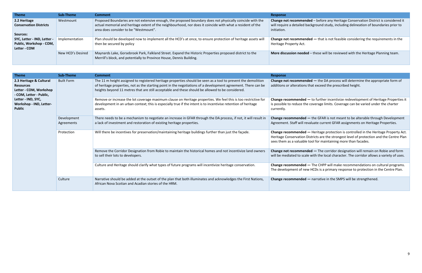| <b>Theme</b>                                                           | Sub-Theme         | <b>Comment</b>                                                                                                                                                                                                                                                   | <b>Response</b>                                                     |
|------------------------------------------------------------------------|-------------------|------------------------------------------------------------------------------------------------------------------------------------------------------------------------------------------------------------------------------------------------------------------|---------------------------------------------------------------------|
| 2.2 Heritage<br><b>Conservation Districts</b><br>Sources:              | Westmount         | Proposed Boundaries are not extensive enough, the proposed boundary does not physically coincide with the<br>actual memorial and heritage extent of the neighbourhood, nor does it coincide with what a resident of the<br>area does consider to be "Westmount". | Change not recommende<br>will require a detailed bad<br>initiation. |
| SYC, Letter - IND, Letter -<br>Public, Workshop - COM,<br>Letter - COM | Implementation    | Plan should be developed now to implement all the HCD's at once, to ensure protection of heritage assets will<br>then be secured by policy                                                                                                                       | Change not recommende<br>Heritage Property Act.                     |
|                                                                        | New HCD's Desired | Maynards Lake, Gorsebrook Park, Falkland Street. Expand the Historic Properties proposed district to the<br>Merrill's block, and potentially to Province House, Dennis Building.                                                                                 | More discussion needed                                              |

| <b>Theme</b>                                                                                     | <b>Sub-Theme</b>          | <b>Comment</b>                                                                                                                                                                                                                                                                                                                      | <b>Response</b>                                                                        |
|--------------------------------------------------------------------------------------------------|---------------------------|-------------------------------------------------------------------------------------------------------------------------------------------------------------------------------------------------------------------------------------------------------------------------------------------------------------------------------------|----------------------------------------------------------------------------------------|
| 2.3 Heritage & Cultural<br><b>Resources</b><br>Letter - COM, Workshop<br>- COM, Letter - Public, | <b>Built Form</b>         | The 11 m height assigned to registered heritage properties should be seen as a tool to prevent the demolition<br>of heritage properties, not as the starting point in the negotiations of a development agreement. There can be<br>heights beyond 11 metres that are still acceptable and these should be allowed to be considered. | <b>Change not recommende</b><br>additions or alterations th                            |
| Letter - IND, SYC,<br>Workshop - IND, Letter-<br><b>Public</b>                                   |                           | Remove or increase the lot coverage maximum clause on Heritage properties. We feel this is too restrictive for<br>development in an urban context; this is especially true if the intent is to incentivise retention of heritage<br>assets.                                                                                         | Change recommended -<br>is possible to reduce the<br>currently.                        |
|                                                                                                  | Development<br>Agreements | There needs to be a mechanism to negotiate an increase in GFAR through the DA process, if not, it will result in<br>a lack of investment and restoration of existing heritage properties.                                                                                                                                           | Change recommended -<br>Agreement. Staff will reva                                     |
|                                                                                                  | Protection                | Will there be incentives for preservation/maintaining heritage buildings further than just the façade.                                                                                                                                                                                                                              | Change recommended -<br><b>Heritage Conservation Dis</b><br>sees them as a valuable to |
|                                                                                                  |                           | Remove the Corridor Designation from Robie to maintain the historical homes and not incentivize land owners<br>to sell their lots to developers.                                                                                                                                                                                    | <b>Change not recommende</b><br>will be mediated to scale                              |
|                                                                                                  |                           | Culture and Heritage should clarify what types of future programs will incentivize heritage conservation.                                                                                                                                                                                                                           | Change recommended -<br>The development of new                                         |
|                                                                                                  | Culture                   | Narrative should be added at the outset of the plan that both illuminates and acknowledges the First Nations,<br>African Nova Scotian and Acadian stories of the HRM.                                                                                                                                                               | Change recommended -                                                                   |

**d** – before any Heritage Conservation District is considered it kground study, including delineation of boundaries prior to

**cd** — that is not feasible considering the requirements in the

- these will be reviewed with the Heritage Planning team.

**ed** — the DA process will determine the appropriate form of hat exceed the prescribed height.

**to further incentivize redevelopment of Heritage Properties it** coverage limits. Coverage can be varied under the charter

- the GFAR is not meant to be alterable through Development aluate current GFAR assignments on Heritage Properties.

Beritage protection is controlled in the Heritage Property Act. istricts are the strongest level of protection and the Centre Plan tool for maintaining more than facades.

**ed** — The corridor designation will remain on Robie and form with the local character. The corridor allows a variety of uses.

Fifture CHPP will make recommendations on cultural programs. HCDs is a primary response to protection in the Centre Plan.

- narrative in the SMPS will be strengthened.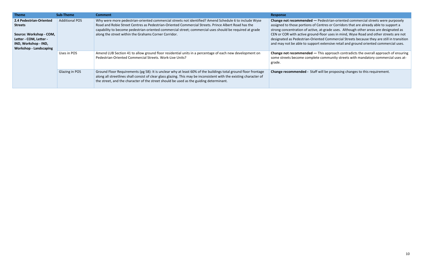| <b>Theme</b>                                                                                               | Sub-Theme             | <b>Comment</b>                                                                                                                                                                                                                                                                                                                  | <b>Response</b>                                                                     |
|------------------------------------------------------------------------------------------------------------|-----------------------|---------------------------------------------------------------------------------------------------------------------------------------------------------------------------------------------------------------------------------------------------------------------------------------------------------------------------------|-------------------------------------------------------------------------------------|
| 2.4 Pedestrian-Oriented<br><b>Streets</b>                                                                  | <b>Additional POS</b> | Why were more pedestrian-oriented commercial streets not identified? Amend Schedule 6 to include Wyse<br>Road and Robie Street Centres as Pedestrian-Oriented Commercial Streets. Prince Albert Road has the<br>capability to become pedestrian-oriented commercial street; commercial uses should be required at grade         | Change not recommende<br>assigned to those portion<br>strong concentration of a     |
| Source: Workshop - COM,<br>Letter - COM, Letter -<br>IND, Workshop - IND,<br><b>Workshop - Landscaping</b> |                       | along the street within the Grahams Corner Corridor.                                                                                                                                                                                                                                                                            | CEN or COR with active gr<br>designated as Pedestrian-<br>and may not be able to su |
|                                                                                                            | Uses in POS           | Amend LUB Section 41 to allow ground floor residential units in a percentage of each new development on<br>Pedestrian-Oriented Commercial Streets. Work-Live Units?                                                                                                                                                             | Change not recommende<br>some streets become con<br>grade.                          |
|                                                                                                            | Glazing in POS        | Ground Floor Requirements (pg 58): It is unclear why at least 60% of the buildings total ground floor frontage<br>along all streetlines shall consist of clear glass glazing. This may be inconsistent with the existing character of<br>the street, and the character of the street should be used as the guiding determinant. | <b>Change recommended -</b>                                                         |

**ed —** Pedestrian-oriented commercial streets were purposely is of Centres or Corridors that are already able to support a ictive, at-grade uses. Although other areas are designated as round-floor uses in mind, Wyse Road and other streets are not -Oriented Commercial Streets because they are still in transition apport extensive retail and ground oriented commercial uses.

**Ed —** This approach contradicts the overall approach of ensuring mplete community streets with mandatory commercial uses at-

Staff will be proposing changes to this requirement.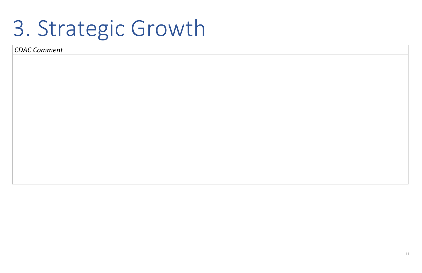## 3. Strategic Growth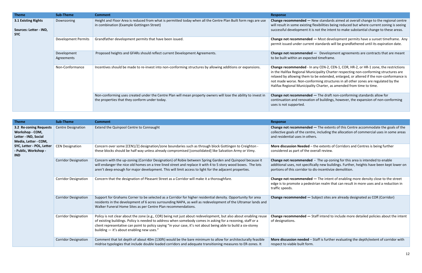| <b>Theme</b>                                                | <b>Sub-Theme</b>           | <b>Comment</b>                                                                                                                                                  | <b>Response</b>                                                                                                                          |
|-------------------------------------------------------------|----------------------------|-----------------------------------------------------------------------------------------------------------------------------------------------------------------|------------------------------------------------------------------------------------------------------------------------------------------|
| 3.1 Existing Rights<br>Sources: Letter - IND,<br><b>SYC</b> | Downzoning                 | Height and Floor Area is reduced from what is permitted today when all the Centre Plan Built form regs are use<br>in combination (Example Gottingen Street)     | Change recommended -<br>will result in some existing<br>successful development if                                                        |
|                                                             | <b>Development Permits</b> | Grandfather development permits that have been issued.                                                                                                          | <b>Change not recommende</b><br>permit issued under curre                                                                                |
|                                                             | Development<br>Agreements  | Proposed heights and GFARs should reflect current Development Agreements.                                                                                       | <b>Change not recommende</b><br>to be built within an expe                                                                               |
|                                                             | Non-Conformance            | Incentives should be made to re-invest into non-conforming structures by allowing additions or expansions.                                                      | Change recommended - I<br>in the Halifax Regional Mu<br>relaxed by allowing them<br>not made worse. Non-cor<br>Halifax Regional Municipa |
|                                                             |                            | Non-conforming uses created under the Centre Plan will mean property owners will lose the ability to invest in<br>the properties that they conform under today. | <b>Change not recommende</b><br>continuation and renovat<br>uses is not supported.                                                       |

| <b>Theme</b>                                                                              | <b>Sub-Theme</b>            | <b>Comment</b>                                                                                                                                                                                                                                                                                                                                                                                  | <b>Response</b>                                                                            |
|-------------------------------------------------------------------------------------------|-----------------------------|-------------------------------------------------------------------------------------------------------------------------------------------------------------------------------------------------------------------------------------------------------------------------------------------------------------------------------------------------------------------------------------------------|--------------------------------------------------------------------------------------------|
| 3.2 Re-zoning Requests<br>Workshop - COM,<br>Letter - IND, Social<br>Media, Letter - COM, | <b>Centre Designation</b>   | Extend the Quinpool Centre to Connaught                                                                                                                                                                                                                                                                                                                                                         | <b>Change not recommende</b><br>collective goals of the cer<br>and residential uses in otl |
| SYC, Letter - POL, Letter<br>- Public, Workshop -<br><b>IND</b>                           | <b>CEN Designation</b>      | Concern over some [CEN1/2] designation/zone boundaries such as through block Gottingen to Creighton -<br>these blocks should be half way unless already compromised [consolidated] like Salvation Army or Vimy.                                                                                                                                                                                 | <b>More discussion Needed</b><br>considered as part of the                                 |
|                                                                                           | <b>Corridor Designation</b> | Concern with the up-zoning (Corridor Designation) of Robie between Spring Garden and Quinpool because it<br>will endanger the nice old homes on a tree lined street and replace it with 4 to 5 story wood boxes. The lots<br>aren't deep enough for major development. This will limit access to light for the adjacent properties.                                                             | <b>Change not recommende</b><br>additional uses, not speci<br>portions of this corridor t  |
|                                                                                           | <b>Corridor Designation</b> | Concern that the designation of Pleasant Street as a Corridor will make it a thoroughfare.                                                                                                                                                                                                                                                                                                      | <b>Change not recommende</b><br>edge is to promote a ped<br>traffic speeds.                |
|                                                                                           | <b>Corridor Designation</b> | Support for Grahams Corner to be selected as a Corridor for higher residential density. Opportunity for area<br>residents in the development of 6 acres surrounding NAPA, as well as redevelopment of the Ultramar lands and<br>Walker Funeral Home Sites as per Centre Plan recommendations.                                                                                                   | Change recommended -                                                                       |
|                                                                                           | <b>Corridor Designation</b> | Policy is not clear about the zone (e.g., COR) being not just about redevelopment, but also about enabling reuse<br>of existing buildings. Policy is needed to address when somebody comes in asking for a rezoning, staff or a<br>client representative can point to policy saying "in your case, it's not about being able to build a six-storey<br>building - it's about enabling new uses." | Change recommended -<br>of designations.                                                   |
|                                                                                           | <b>Corridor Designation</b> | Comment that lot depth of about 40m (130ft) would be the bare minimum to allow for architecturally feasible<br>midrise typologies that include double loaded corridors and adequate transitioning measures to ER-zones. It                                                                                                                                                                      | More discussion needed<br>respect to viable built for                                      |

**Rew standards aimed at overall change to the regional centre** g flexibilities being reduced but where current zoning is seeing t is not the intent to make substantial change to these areas.

ed — Most development permits have a sunset timeframe. Any ent standards will be grandfathered until its expiration date.

**Proposed Agencer** contracts and Gerarage not Development agreements are not all are meant cted timeframe.

In any CEN-2, CEN-1, COR, HR-2, or HR-1 zone, the restrictions unicipality Charter respecting non-conforming structures are ito be extended, enlarged, or altered if the non-conformance is nforming structures in all other zones are regulated by the ality Charter, as amended from time to time.

**Ed** — The draft non-conforming standards allow for tion of buildings, however, the expansion of non-conforming

**ed —** The extents of this Centre accommodate the goals of the ntre, including the allocation of commercial uses in some areas hers.

**M**-the extents of Corridors and Centres is being further coverall review.

**ed** - The up-zoning for this area is intended to enable ifically new buildings. Further, heights have been kept lower on to dis-incentivize demolition.

**ed —** The intent of enabling more density close to the street lestrian realm that can result in more uses and a reduction in

- Subject sites are already designated as COR (Corridor)

- Staff intend to include more detailed policies about the intent

 $-$  Staff is further evaluating the depth/extent of corridor with rm.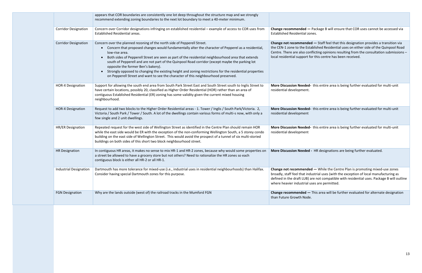|  |                               | appears that COR boundaries are consistently one lot deep throughout the structure map and we strongly<br>recommend extending zoning boundaries to the next lot boundary to meet a 40-meter minimum.                                                                                                                                                                                                                                                                                                                                                                                                                                                                                     |                                                                                                                               |
|--|-------------------------------|------------------------------------------------------------------------------------------------------------------------------------------------------------------------------------------------------------------------------------------------------------------------------------------------------------------------------------------------------------------------------------------------------------------------------------------------------------------------------------------------------------------------------------------------------------------------------------------------------------------------------------------------------------------------------------------|-------------------------------------------------------------------------------------------------------------------------------|
|  | <b>Corridor Designation</b>   | Concern over Corridor designations infringing on established residential - example of access to COR uses from<br><b>Established Residential areas.</b>                                                                                                                                                                                                                                                                                                                                                                                                                                                                                                                                   | Change recommended - I<br><b>Established Residential zon</b>                                                                  |
|  | <b>Corridor Designation</b>   | Concern over the planned rezoning of the north side of Pepperell Street.<br>Concern that proposed changes would fundamentally alter the character of Pepperel as a residential,<br>$\bullet$<br>low-rise area.<br>Both sides of Pepperell Street are seen as part of the residential neighbourhood area that extends<br>$\bullet$<br>south of Pepperell and are not part of the Quinpool Road corridor (except maybe the parking lot<br>opposite the former Ben's bakery).<br>Strongly opposed to changing the existing height and zoning restrictions for the residential properties<br>$\bullet$<br>on Pepperell Street and want to see the character of this neighbourhood preserved. | <b>Change not recommended</b><br>the CEN-1 zone to the Estal<br>Centre. There are also conf<br>local residential support fo   |
|  | <b>HOR-X Designation</b>      | Support for allowing the south end area from South Park Street East and South Street south to Inglis Street to<br>have certain locations, possibly 20, classified as Higher Order Residential (HOR) rather than an area of<br>contiguous Established Residential (ER) zoning has some validity given the current mixed housing<br>neighbourhood.                                                                                                                                                                                                                                                                                                                                         | <b>More Discussion Needed-</b><br>residential development.                                                                    |
|  | <b>HOR-X Designation</b>      | Request to add two blocks to the Higher Order Residential areas - 1. Tower / Inglis / South Park/Victoria. 2,<br>Victoria / South Park / Tower / South. A lot of the dwellings contain various forms of multi-s now, with only a<br>few single and 2 unit dwellings.                                                                                                                                                                                                                                                                                                                                                                                                                     | <b>More Discussion Needed-</b><br>residential development                                                                     |
|  | HR/ER Designation             | Repeated request for the west side of Wellington Street as identified in the Centre Plan should remain HOR<br>while the east side would be ER with the exception of the non-conforming Wellington South, a 5 storey condo<br>building on the east side of Wellington Street. This would avoid the prospect of a tunnel of six multi-storied<br>buildings on both sides of this short two block neighbourhood street.                                                                                                                                                                                                                                                                     | <b>More Discussion Needed-</b><br>residential development                                                                     |
|  | <b>HR Designation</b>         | In contiguous HR areas, it makes no sense to mix HR-1 and HR-2 zones, because why would some properties on<br>a street be allowed to have a grocery store but not others? Need to rationalize the HR zones so each<br>contiguous block is either all HR-2 or all HR-1.                                                                                                                                                                                                                                                                                                                                                                                                                   | <b>More Discussion Needed -</b>                                                                                               |
|  | <b>Industrial Designation</b> | Dartmouth has more tolerance for mixed-use (i.e., industrial uses in residential neighbourhoods) than Halifax.<br>Consider having special Dartmouth zones for this purpose.                                                                                                                                                                                                                                                                                                                                                                                                                                                                                                              | <b>Change not recommended</b><br>broadly, staff feel that indu<br>defined in the draft LUB) ar<br>where heavier industrial us |
|  | <b>FGN Designation</b>        | Why are the lands outside (west of) the railroad tracks in the Mumford FGN                                                                                                                                                                                                                                                                                                                                                                                                                                                                                                                                                                                                               | Change recommended - 1<br>than Future Growth Node.                                                                            |

**Package B will ensure that COR uses cannot be accessed via** nes.

**Red —** Staff feel that this designation provides a transition via ablished Residential uses on either side of the Quinpool Road nflicting opinions resulting from the consultation submissions – or this centre has been received.

this entire area is being further evaluated for multi-unit

**Morgor this entire area is being further evaluated for multi-unit** 

this entire area is being further evaluated for multi-unit

- HR designations are being further evaluated.

**Change 1** While the Centre Plan is promoting mixed-use zones dustrial uses (with the exception of local manufacturing as are not compatible with residential uses. Package B will outline uses are permitted.

Fand Designation This are the further evaluated for alternate designation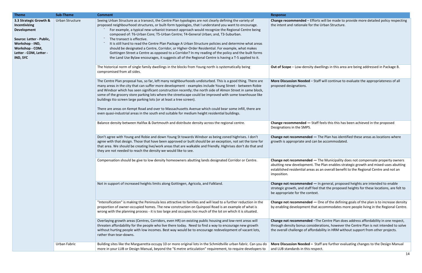| <b>Theme</b>                                                                                                                                                          | <b>Sub-Theme</b> | <b>Comment</b>                                                                                                                                                                                                                                                                                                                                                                                                                                                                                                                                                                                                                                                                                                                                                                                                                                                 | <b>Response</b>                                                                                       |
|-----------------------------------------------------------------------------------------------------------------------------------------------------------------------|------------------|----------------------------------------------------------------------------------------------------------------------------------------------------------------------------------------------------------------------------------------------------------------------------------------------------------------------------------------------------------------------------------------------------------------------------------------------------------------------------------------------------------------------------------------------------------------------------------------------------------------------------------------------------------------------------------------------------------------------------------------------------------------------------------------------------------------------------------------------------------------|-------------------------------------------------------------------------------------------------------|
| 3.3 Strategic Growth &<br>Incentivizing<br><b>Development</b><br>Source: Letter - Public,<br>Workshop - IND,<br>Workshop - COM,<br>Letter - COM, Letter -<br>IND, SYC | Urban Structure  | Seeing Urban Structure as a transect, the Centre Plan typologies are not clearly defining the variety of<br>proposed neighbourhood structures, or built-form typologies, that I understand you want to encourage.<br>For example, a typical new-urbanist transect approach would recognize the Regional Centre being<br>composed of: T6-Urban Core; T5-Urban Centre; T4-General Urban; and, T3-Suburban.<br>The transect is effective.<br>It is still hard to read the Centre Plan Package A Urban Structure policies and determine what areas<br>should be designated a Centre, Corridor, or Higher-Order Residential. For example, what makes<br>Gottingen Street a Centre as opposed to a Corridor? In my reading of the policy and the built forms<br>the Land Use Bylaw encourages, it suggests all of the Regional Centre is having a T-5 applied to it. | Change recommended - I<br>the intent and rationale fo                                                 |
|                                                                                                                                                                       |                  | The historical norm of single family dwellings in the blocks from Young north is systematically being<br>compromised from all sides.                                                                                                                                                                                                                                                                                                                                                                                                                                                                                                                                                                                                                                                                                                                           | <b>Out of Scope - Low-density</b>                                                                     |
|                                                                                                                                                                       |                  | The Centre Plan proposal has, so far, left many neighbourhoods undisturbed. This is a good thing. There are<br>many areas in the city that can suffer more development - examples include Young Street - between Robie<br>and Windsor which has seen significant construction recently; the north side of Almon Street in same block,<br>some of the grocery store parking lots where the streetscape could be improved with some townhouse like<br>buildings tto screen large parking lots (or at least a tree screen).<br>There are areas on Kempt Road and over to Massachusetts Avenue which could bear some infill, there are<br>even quasi-industrial areas in the south end suitable for medium height residential buildings.                                                                                                                           | <b>More Discussion Needed</b><br>proposed designations.                                               |
|                                                                                                                                                                       |                  | Balance density between Halifax & Dartmouth and distribute density across the regional centre.                                                                                                                                                                                                                                                                                                                                                                                                                                                                                                                                                                                                                                                                                                                                                                 | Change recommended -<br>Designations in the SMPS.                                                     |
|                                                                                                                                                                       |                  | Don't agree with Young and Robie and down Young St towards Windsor as being zoned highrises. I don't<br>agree with that design. Those that have been approved or built should be an exception, not set the tone for<br>that area. We should be creating live/work areas that are walkable and friendly. Highrises don't do that and<br>they are not needed to reach the density we would like to see.                                                                                                                                                                                                                                                                                                                                                                                                                                                          | Change not recommende<br>growth is appropriate and                                                    |
|                                                                                                                                                                       |                  | Compensation should be give to low density homeowners abutting lands designated Corridor or Centre.                                                                                                                                                                                                                                                                                                                                                                                                                                                                                                                                                                                                                                                                                                                                                            | <b>Change not recommende</b><br>abutting new developmer<br>established residential are<br>imposition. |
|                                                                                                                                                                       |                  | Not in support of increased heights limits along Gottingen, Agricola, and Falkland.                                                                                                                                                                                                                                                                                                                                                                                                                                                                                                                                                                                                                                                                                                                                                                            | Change not recommende<br>strategic growth, and staft<br>be appropriate for the cor                    |
|                                                                                                                                                                       |                  | "Intensification" is making the Peninsula less attractive to families and will lead to a further reduction in the<br>proportion of owner-occupied homes. The new construction on Quinpool Road is an example of what is<br>wrong with the planning process - it is too large and occupies too much of the lot on which it is situated.                                                                                                                                                                                                                                                                                                                                                                                                                                                                                                                         | <b>Change not recommende</b><br>by enabling development                                               |
|                                                                                                                                                                       |                  | Overlaying growth areas (Centres, Corridors, even HR) on existing public housing and low-rent areas will<br>threaten affordability for the people who live there today. Need to find a way to encourage new growth<br>without hurting people with low incomes. Best way would be to encourage redevelopment of vacant lots,<br>rather than tear-downs.                                                                                                                                                                                                                                                                                                                                                                                                                                                                                                         | <b>Change not recommende</b><br>through density bonus cor<br>the overall challenge of af              |
|                                                                                                                                                                       | Urban Fabric     | Building sites like the Margueretta occupy 10 or more original lots in the Schmidtville urban fabric. Can you do<br>more in your LUB or Design Manual, beyond the "6 metre articulation" requirement, to require developers to                                                                                                                                                                                                                                                                                                                                                                                                                                                                                                                                                                                                                                 | <b>More Discussion Needed</b><br>and LUB standards in this                                            |

Efforts will be made to provide more detailed policy respecting or the Urban Structure.

ity dwellings in this area are being addressed in Package B.

 $-$  Staff will continue to evaluate the appropriateness of all

Balance density between distribute density and the feels this this has been achieved in the proposed

**Cd** — The Plan has identified these areas as locations where l can be accommodated.

**cd** — The Municipality does not compensate property owners nt. The Plan enables strategic growth and mixed-uses abutting eas as an overall benefit to the Regional Centre and not an

 $\mathbf{ed}$   $\mathsf{I}$  in general, proposed heights are intended to enable ff feel that the proposed heights for these locations, are felt to ntext.

**cd** — One of the defining goals of the plan is to increase density that accommodates more people living in the Regional Centre.

**cd** –The Centre Plan does address affordability in one respect, nsiderations, however the Centre Plan is not intended to solve ffordability in HRM without support from other projects.

**-** Staff are further evaluating changes to the Design Manual respect.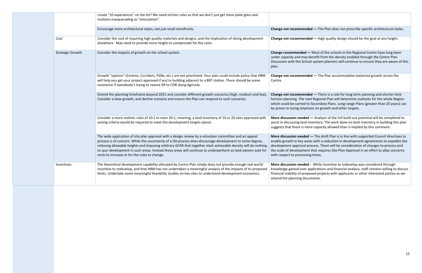|                         | create "10 experiences" on the lot? We need stricter rules so that we don't just get more plate glass and<br>mullions masquerading as "articulation".                                                                                                                                                                                                                                                                                                                                                |                                                                                                                                             |
|-------------------------|------------------------------------------------------------------------------------------------------------------------------------------------------------------------------------------------------------------------------------------------------------------------------------------------------------------------------------------------------------------------------------------------------------------------------------------------------------------------------------------------------|---------------------------------------------------------------------------------------------------------------------------------------------|
|                         | Encourage more architectural styles, not just small storefronts.                                                                                                                                                                                                                                                                                                                                                                                                                                     | Change not recommende                                                                                                                       |
| Cost                    | Consider the cost of requiring high quality materials and designs, and the implication of diving development<br>elsewhere. May need to provide more height to compensate for the costs.                                                                                                                                                                                                                                                                                                              | Change not recommende                                                                                                                       |
| <b>Strategic Growth</b> | Consider the impacts of growth on the school system.                                                                                                                                                                                                                                                                                                                                                                                                                                                 | Change recommended -<br>under capacity and may be<br>Discussion with the Schoo<br>plan.                                                     |
|                         | Growth "options" (Centres, Corridors, FGNs, etc.) are not prioritized. Your plan could include policy that HRM<br>will help you get your project approved if you're building adjacent to a BRT station. There should be some<br>resistance if somebody's trying to rezone ER to COR along Agricola.                                                                                                                                                                                                  | Change not recommende<br>Centre.                                                                                                            |
|                         | Extend the planning timeframe beyond 2031 and consider different growth scenarios (high, medium and low).<br>Consider a slow growth, and decline scenario and ensure the Plan can respond to such scenarios.                                                                                                                                                                                                                                                                                         | Change not recommende<br>horizon planning. The next<br>which could be carried to<br>be prone to losing emphas                               |
|                         | Consider a more realistic ratio of 10:1 or even 20:1, meaning, a land inventory of 10 or 20 sites approved with<br>zoning criteria would be required to meet the development targets above.                                                                                                                                                                                                                                                                                                          | More discussion needed -<br>assist in discussing land in<br>suggests that there is mor                                                      |
|                         | The wide application of site plan approval with a design review by a volunteer committee and an appeal<br>process is of concern. While the uncertainty of a DA process does discourage development to some degree,<br>reducing allowable heights and imposing arbitrary GFAR that together slash achievable density will do nothing<br>to spur development in such areas. Instead these areas will continue to underperform as land owners wait for<br>rents to increase or for the rules to change. | More discussion needed -<br>enable growth in key area<br>development approval pro<br>the scale of development<br>with respect to processing |
| Incentives              | The theoretical development capability allocated by Centre Plan simply does not provide enough real world<br>incentive to redevelop, and that HRM has not undertaken a meaningful analysis of the impacts of its proposed<br>limits. Undertake some meaningful feasibility studies on key sites to understand development economics.                                                                                                                                                                 | More discussion needed -<br>knowledge gained over ap<br>financial viability of propo<br>amend the planning docur                            |

 $\mathbf{Id}$  – The Plan does not prescribe specific architectural styles.

**Colange 1** High quality design should be the goal at any height.

**Most of the schools in the Regional Centre have long been** enefit from the density enabled through the Centre Plan. I system planners will continue to ensure they are aware of this

**Change 1** The Plan accommodates balanced growth across the

**Cohange 1** There is a role for long term planning and shorter time t Regional Plan will determine outlooks for the whole Region Secondary Plans. Long-range Plans (greater than 20 years) can sis on growth and other targets.

 $-$  Analysis of the full build out potential will be completed to ventory. The work done on land inventory in building this plan re capacity allowed than is implied by this comment.

 $-$  The draft Plan is in line with supported Council directives to as with a reduction in development agreements to expedite the ocess. There will be consideration of changes to process and that requires Site Plan Approval in an effort to allay concerns g times.

While incentive to redevelop was considered through pplications and financial analysis, staff remains willing to discuss ised projects with applicants or other interested parties as we ments.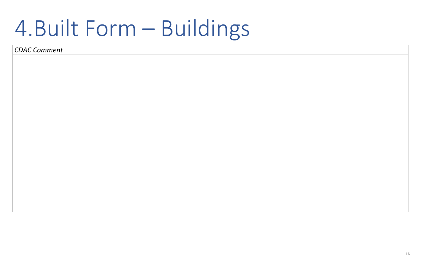16

# 4.Built Form – Buildings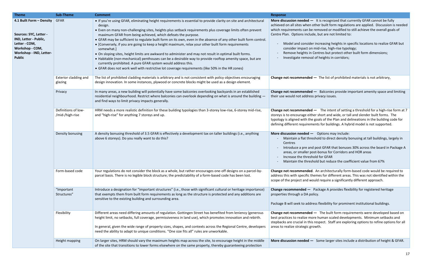| <b>Theme</b>                                                                                                                                                | <b>Sub-Theme</b>                       | <b>Comment</b>                                                                                                                                                                                                                                                                                                                                                                                                                                                                                                                                                                                                                                                                                                                                                                                                                                                                                                                              | <b>Response</b>                                                                                                                                                                           |
|-------------------------------------------------------------------------------------------------------------------------------------------------------------|----------------------------------------|---------------------------------------------------------------------------------------------------------------------------------------------------------------------------------------------------------------------------------------------------------------------------------------------------------------------------------------------------------------------------------------------------------------------------------------------------------------------------------------------------------------------------------------------------------------------------------------------------------------------------------------------------------------------------------------------------------------------------------------------------------------------------------------------------------------------------------------------------------------------------------------------------------------------------------------------|-------------------------------------------------------------------------------------------------------------------------------------------------------------------------------------------|
| 4.1 Built Form - Density<br>Sources: SYC, Letter -<br>IND, Letter - Public,<br>Letter - COM,<br>Workshop - COM,<br>Workshop - IND, Letter-<br><b>Public</b> | <b>GFAR</b>                            | • If you're using GFAR, eliminating height requirements is essential to provide clarity on site and architectural<br>design.<br>• Even on many non-challenging sites, heights plus setback requirements plus coverage limits often prevent<br>maximum GFAR from being achieved, which defeats the purpose.<br>• GFAR may be sufficient to regulate built form on its own, even in the absence of any other built form control.<br>• [Conversely, if you are going to keep a height maximum, relax your other built form requirements<br>somewhat.]<br>. On sloping sites, height limits are awkward to administer and may not result in optimal built forms.<br>• Habitable (non-mechanical) penthouses can be a desirable way to provide rooftop amenity space, but are<br>currently prohibited. A pure GFAR system would address this.<br>• GFAR does not work well with restrictive lot coverage requirements (like 50% in the HR zones) | More discussion needed<br>achieved on all sites whe<br>which requirements can<br>Centre Plan. Options incl<br>Model and consid<br>consider impact<br>Remove heights i<br>Investigate remo |
|                                                                                                                                                             | Exterior cladding and<br>glazing       | The list of prohibited cladding materials is arbitrary and is not consistent with policy objectives encouraging<br>design innovation. In some instances, plywood or concrete blocks might be used as a design element.                                                                                                                                                                                                                                                                                                                                                                                                                                                                                                                                                                                                                                                                                                                      | <b>Change not recommende</b>                                                                                                                                                              |
|                                                                                                                                                             | Privacy                                | In many areas, a new building will potentially have some balconies overlooking backyards in an established<br>residential neighbourhood. Restrict where balconies can overlook depending on what is around the building -<br>and find ways to limit privacy impacts generally.                                                                                                                                                                                                                                                                                                                                                                                                                                                                                                                                                                                                                                                              | <b>Change not recommende</b><br>their use would not addr                                                                                                                                  |
|                                                                                                                                                             | Definitions of low-<br>/mid-/high-rise | HRM needs a more realistic definition for these building typologies than 3-storey low-rise, 6-storey mid-rise,<br>and "high-rise" for anything 7 storeys and up.                                                                                                                                                                                                                                                                                                                                                                                                                                                                                                                                                                                                                                                                                                                                                                            | <b>Change not recommende</b><br>storeys is to encourage e<br>typology is aligned with t<br>defining different require                                                                     |
|                                                                                                                                                             | Density bonusing                       | A density bonusing threshold of 3.5 GFAR is effectively a development tax on taller buildings (i.e., anything<br>above 6 storeys). Do you really want to do this?                                                                                                                                                                                                                                                                                                                                                                                                                                                                                                                                                                                                                                                                                                                                                                           | More discussion needed<br>Maintain a flat th<br>Centres<br>Introduce a pre a<br>areas, or smaller<br>Increase the thre<br>Maintain the thre                                               |
|                                                                                                                                                             | Form-based code                        | Your regulations do not consider the block as a whole, but rather encourages one-off designs on a parcel-by-<br>parcel basis. There is no legible block structure; the predictability of a form-based code has been lost.                                                                                                                                                                                                                                                                                                                                                                                                                                                                                                                                                                                                                                                                                                                   | <b>Change not recommende</b><br>address this with specific<br>scope of the project and                                                                                                    |
|                                                                                                                                                             | "Important<br>Structures"              | Introduce a designation for "important structures" (i.e., those with significant cultural or heritage importance)<br>that exempts them from built form requirements as long as the structure is protected and any additions are<br>sensitive to the existing building and surrounding area.                                                                                                                                                                                                                                                                                                                                                                                                                                                                                                                                                                                                                                                 | Change recommended -<br>properties through a DA<br>Package B will seek to ad                                                                                                              |
|                                                                                                                                                             | Flexibility                            | Different areas need differing amounts of regulation. Gottingen Street has benefited from leniency (generous<br>height limit, no setbacks, full coverage, permissiveness in land use), which promotes innovation and rebirth.<br>In general, given the wide range of property sizes, shapes, and contexts across the Regional Centre, developers<br>need the ability to adapt to unique conditions. "One size fits all" rules are unworkable.                                                                                                                                                                                                                                                                                                                                                                                                                                                                                               | <b>Change not recommende</b><br>best practices to realize r<br>stepbacks are crucial in tl<br>areas to realize strategic                                                                  |
|                                                                                                                                                             | Height mapping                         | On larger sites, HRM should vary the maximum heights map across the site, to encourage height in the middle<br>of the site that transitions to lower forms elsewhere on the same property, thereby guaranteeing protection                                                                                                                                                                                                                                                                                                                                                                                                                                                                                                                                                                                                                                                                                                                  | More discussion needed                                                                                                                                                                    |

 $-$  It is recognized that currently GFAR cannot be fully n other built form regulations are applied. Discussion is needed be removed or modified to still achieve the overall goals of lude, but are not limited to:

der increasing heights in specific locations to realize GFAR but on mid-rise, high-rise typology;

in Centres but protect other built form dimensions;

val of heights in corridors;

**Ed** — The list of prohibited materials is not arbitrary,

**ed** — Balconies provide important amenity space and limiting ess privacy issues.

**ed** — The intent of setting a threshold for a high-rise form at 7 ither short and wide, or tall and slender built forms. The the goals of the Plan and delineations in the building code for ements for buildings. A hybrid model is not supported.

 $\rightarrow$  Options may include: Inteshold to direct density bonusing at tall buildings, largely in

Ind post GFAR that bonuses 30% across the board in Package A post-bonus for Corridors and HOR areas

shold for GFAR

eshold but reduce the coefficient value from 67%

**ed**. An architecturally form-based code would be required to themes for different areas. This was not identified within the would require a significantly different approach.

**-** Package A provides flexibility for registered heritage policy.

Idress flexibility for prominent institutional buildings.

**Ed** — The built form requirements were developed based on more human scaled developments. Minimum setbacks and his respect. Staff are exploring options to refine options for all growth.

**More discussion 1 Some larger sites include a distribution of height & GFAR.**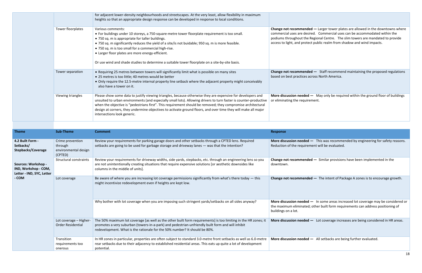|                   | for adjacent lower-density neighbourhoods and streetscapes. At the very least, allow flexibility in maximum<br>heights so that an appropriate design response can be developed in response to local conditions.                                                                                                                                                                                                                                                                                   |                                                                                                                    |
|-------------------|---------------------------------------------------------------------------------------------------------------------------------------------------------------------------------------------------------------------------------------------------------------------------------------------------------------------------------------------------------------------------------------------------------------------------------------------------------------------------------------------------|--------------------------------------------------------------------------------------------------------------------|
| Tower floorplates | Various comments:<br>• For buildings under 10 storeys, a 750-square-metre tower floorplate requirement is too small.<br>• 750 sq. m is appropriate for taller buildings.<br>. 750 sq. m significantly reduces the yield of a site/is not buidable; 950 sq. m is more feasible.<br>• 750 sq. m is too small for a commercial high-rise.<br>• Larger floor plates are more energy-efficient.<br>Or use wind and shade studies to determine a suitable tower floorplate on a site-by-site basis.     | <b>Change not recommende</b><br>commercial uses are desir<br>podiums throughout the<br>access to light, and proted |
| Tower separation  | • Requiring 25 metres between towers will significantly limit what is possible on many sites<br>• 25 metres is too little; 40 metres would be better<br>• Only require the 12.5-metre internal property line setback where the adjacent property might conceivably<br>also have a tower on it.                                                                                                                                                                                                    | <b>Change not recommende</b><br>based on best practices a                                                          |
| Viewing triangles | Please show some data to justify viewing triangles, because otherwise they are expensive for developers and<br>unsuited to urban environments (and especially small lots). Allowing drivers to turn faster is counter-productive<br>when the objective is "pedestrians first". This requirement should be removed; they compromise architectural<br>design at corners, they undermine objectives to activate ground floors, and over time they will make all major<br>intersections look generic. | More discussion needed<br>or eliminating the require                                                               |

| <b>Theme</b>                                                                      | <b>Sub-Theme</b>                                               | <b>Comment</b>                                                                                                                                                                                                                                                                                     | <b>Response</b>                                                          |
|-----------------------------------------------------------------------------------|----------------------------------------------------------------|----------------------------------------------------------------------------------------------------------------------------------------------------------------------------------------------------------------------------------------------------------------------------------------------------|--------------------------------------------------------------------------|
| 4.2 Built Form -<br>Setbacks/<br><b>Stepbacks/Coverage</b>                        | Crime prevention<br>through<br>environmental design<br>(CPTED) | Review your requirements for parking garage doors and other setbacks through a CPTED lens. Required<br>setbacks are going to be used for garbage storage and driveway lanes - was that the intention?                                                                                              | More discussion needed<br>Reduction of the requiren                      |
| Sources: Workshop -<br>IND, Workshop - COM,<br>Letter - IND, SYC, Letter<br>- COM | <b>Structural constraints</b>                                  | Review your requirements for driveway widths, side yards, stepbacks, etc. through an engineering lens so you<br>are not unintentionally creating situations that require expensive solutions [or aesthetic downsides like<br>columns in the middle of units].                                      | <b>Change not recommende</b><br>downtown.                                |
|                                                                                   | Lot coverage                                                   | Be aware of where you are increasing lot coverage permissions significantly from what's there today — this<br>might incentivize redevelopment even if heights are kept low.                                                                                                                        | <b>Change not recommende</b>                                             |
|                                                                                   |                                                                | Why bother with lot coverage when you are imposing such stringent yards/setbacks on all sides anyway?                                                                                                                                                                                              | More discussion needed<br>the maximum eliminated;<br>buildings on a lot. |
|                                                                                   | Lot coverage - Higher-<br><b>Order Residential</b>             | The 50% maximum lot coverage [as well as the other built form requirements] is too limiting in the HR zones; it<br>promotes a very suburban (towers-in-a-park) and pedestrian-unfriendly built form and will inhibit<br>redevelopment. What is the rationale for the 50% number? It should be 80%. | More discussion needed                                                   |
|                                                                                   | Transition<br>requirements too<br>onerous                      | In HR zones in particular, properties are often subject to standard 3.0-metre front setbacks as well as 6.0-metre<br>rear setbacks due to their adjacency to established residential areas. This eats up quite a lot of development<br>potential.                                                  | More discussion needed                                                   |

**ed** — Larger tower plates are allowed in the downtowns where ired. Commercial uses can be accommodated within the Regional Centre. The slim towers are mandated to provide ect public realm from shadow and wind impacts.

**Ed** — Staff recommend maintaining the proposed regulations across North America.

 $-$  May only be required within the ground floor of buildings ement.

 $-$  This was recommended by engineering for safety reasons. nent will be evaluated.

**Ed** — Similar provisions have been implemented in the

**Cd** — The intent of Package A zones is to encourage growth.

 $-$  In some areas increased lot coverage may be considered or the matimum other mattase; other built form in the positioning of

 $\blacksquare$  Lot coverage increases are being considered in HR areas.

 $-$  All setbacks are being further evaluated.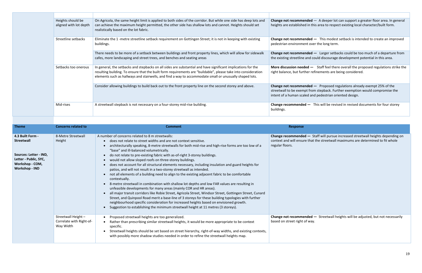| Heights should be<br>aligned with lot depth | On Agricola, the same height limit is applied to both sides of the corridor. But while one side has deep lots and<br>can achieve the maximum height permitted, the other side has shallow lots and cannot. Heights should set<br>realistically based on the lot fabric.                                                                    | <b>Change not recommende</b><br>heights are established in                        |
|---------------------------------------------|--------------------------------------------------------------------------------------------------------------------------------------------------------------------------------------------------------------------------------------------------------------------------------------------------------------------------------------------|-----------------------------------------------------------------------------------|
| Streetline setbacks                         | Eliminate the 1 -metre streetline setback requirement on Gottingen Street; it is not in keeping with existing<br>buildings.                                                                                                                                                                                                                | <b>Change not recommende</b><br>pedestrian environment o                          |
|                                             | There needs to be more of a setback between buildings and front property lines, which will allow for sidewalk<br>cafes, more landscaping and street trees, and benches and seating areas                                                                                                                                                   | Change not recommende<br>the existing streetline and                              |
| Setbacks too onerous                        | In general, the setbacks and stepbacks on all sides are substantial and have significant implications for the<br>resulting building. To ensure that the built form requirements are "buildable", please take into consideration<br>elements such as hallways and stairwells, and find a way to accommodate small or unusually shaped lots. | More discussion needed -<br>right balance, but further                            |
|                                             | Consider allowing buildings to build back out to the front property line on the second storey and above.                                                                                                                                                                                                                                   | Change not recommende<br>streetwall to be exempt fr<br>intent of a human scaled a |
| Mid-rises                                   | A streetwall stepback is not necessary on a four-storey mid-rise building.                                                                                                                                                                                                                                                                 | Change recommended -<br>buildings.                                                |

| <b>Theme</b>                                                                                                                         | <b>Concerns related to</b>                                   | <b>Comment</b>                                                                                                                                                                                                                                                                                                                                                                                                                                                                                                                                                                                                                                                                                                                                                                                                                                                                                                                                                                                                                                                                                                                                                                                                                                                                          | Response                                                              |
|--------------------------------------------------------------------------------------------------------------------------------------|--------------------------------------------------------------|-----------------------------------------------------------------------------------------------------------------------------------------------------------------------------------------------------------------------------------------------------------------------------------------------------------------------------------------------------------------------------------------------------------------------------------------------------------------------------------------------------------------------------------------------------------------------------------------------------------------------------------------------------------------------------------------------------------------------------------------------------------------------------------------------------------------------------------------------------------------------------------------------------------------------------------------------------------------------------------------------------------------------------------------------------------------------------------------------------------------------------------------------------------------------------------------------------------------------------------------------------------------------------------------|-----------------------------------------------------------------------|
| 4.3 Built Form -<br><b>Streetwall</b><br>Sources: Letter - IND,<br>Letter - Public, SYC,<br>Workshop - COM,<br><b>Workshop - IND</b> | 8-Metre Streetwall<br>Height                                 | A number of concerns related to 8 m streetwalls:<br>does not relate to street widths and are not context sensitive.<br>architecturally speaking, 8-metre streetwalls for both mid-rise and high-rise forms are too low of a<br>"base" and ill-balanced volumetrically.<br>do not relate to pre-existing fabric with as-of-right 3-storey buildings.<br>would not allow sloped roofs on three-storey buildings.<br>does not account for all structural elements necessary, including insulation and guard heights for<br>patios, and will not result in a two-storey streetwall as intended.<br>not all elements of a building need to align to the existing adjacent fabric to be comfortable<br>contextually.<br>8-metre streetwall in combination with shallow lot depths and low FAR values are resulting in<br>unfeasible developments for many areas (mainly COR and HR areas).<br>all major transit corridors like Robie Street, Agricola Street, Windsor Street, Gottingen Street, Cunard<br>Street, and Quinpool Road merit a base-line of 3 storeys for these building typologies with further<br>neighbourhood specific consideration for increased heights based on envisioned growth.<br>Suggestion to establishing the minimum streetwall height at 11 metres (3 storeys). | Change recommended -<br>context and will ensure th<br>regular floors. |
|                                                                                                                                      | Streetwall Height -<br>Correlate with Right-of-<br>Way Width | Proposed streetwall heights are too generalized.<br>Rather than prescribing similar streetwall heights, it would be more appropriate to be context<br>specific.<br>Streetwall heights should be set based on street hierarchy, right-of-way widths, and existing contexts,<br>with possibly more shadow studies needed in order to refine the streetwall heights map.                                                                                                                                                                                                                                                                                                                                                                                                                                                                                                                                                                                                                                                                                                                                                                                                                                                                                                                   | <b>Change not recommende</b><br>based on street right of w            |

**Change 3** and  $\mathbf{C} = \mathbf{A}$  deeper lot can support a greater floor area. In general this area to respect existing local character/built form.

**ed** — This modest setback is intended to create an improved pver the long term.

**Change 3** Larger setbacks could be too much of a departure from t could discourage development potential in this area.

 $-$  Staff feel there overall the proposed regulations strike the refinements are being considered.

**Combild build back on the front property and above. Proposed regulations already exempt 25% of the** rom stepback. Further exemption would compromise the and pedestrian oriented design.

This will be revised in revised documents for four storey

**Conaige Staff will pursue increased streetwall heights depending on** at the streetwall maximums are determined to fit whole

**Ed —** Streetwall heights will be adjusted, but not necessarily ay.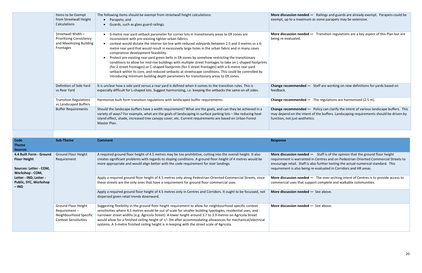|  | Items to be Exempt<br>from Streetwall Height<br>Calculations                                  | The following items should be exempt from streetwall height calculations:<br>Parapets; and<br>Guards, such as glass guard railings.                                                                                                                                                                                                                                                                                                                                                                                                                                                                                                                                                                                                                                                                                                                                                                                       | <b>More discussion needed</b><br>exempt, up to a maximur                      |
|--|-----------------------------------------------------------------------------------------------|---------------------------------------------------------------------------------------------------------------------------------------------------------------------------------------------------------------------------------------------------------------------------------------------------------------------------------------------------------------------------------------------------------------------------------------------------------------------------------------------------------------------------------------------------------------------------------------------------------------------------------------------------------------------------------------------------------------------------------------------------------------------------------------------------------------------------------------------------------------------------------------------------------------------------|-------------------------------------------------------------------------------|
|  | Streetwall Width -<br><b>Prioritizing Consistency</b><br>and Maximizing Building<br>Frontages | 6-metre rear yard setback parameter for corner lots in transitionary areas to ER zones are<br>inconsistent with pre-existing tighter urban fabrics.<br>context would dictate the interior lot-line with reduced sideyards between 2.5 and 3 metres vs a 6-<br>metre rear yard that would result in excessively large holes in the urban fabric and in many cases<br>compromise development feasibility.<br>Protect pre-existing rear yard green belts in ER-zones by somehow restricting the transitionary<br>conditions to allow for mid-rise buildings with multiple street frontages to take on L-shaped footprints<br>(for 2 street frontages) or C-shaped footprints (for 3 street frontages) with a 6-metre rear yard<br>setback within its core, and reduced setbacks at streetscape conditions. This could be controlled by<br>introducing minimum building depth parameters for transitionary areas to ER zones. | More discussion needed<br>being re-evaluated.                                 |
|  | Definition of Side Yard<br>vs Rear Yard                                                       | It is unclear how a side yard versus a rear yard is defined when it comes to the transition rules. This is<br>especially difficult for L-shaped lots. Suggest harmonizing, i.e. keeping the setbacks the same on all sides.                                                                                                                                                                                                                                                                                                                                                                                                                                                                                                                                                                                                                                                                                               | Change recommended -<br>feedback.                                             |
|  | <b>Transition Regulations</b><br>vs Landscaped Buffers                                        | Harmonize built form transition regulations with landscaped buffer requirements.                                                                                                                                                                                                                                                                                                                                                                                                                                                                                                                                                                                                                                                                                                                                                                                                                                          | Change recommended -                                                          |
|  | <b>Buffer Requirements</b>                                                                    | Should the landscape buffers have a width requirement? What are the goals, and can they be achieved in a<br>variety of ways? For example, what are the goals of landscaping in surface parking lots - like reducing heat<br>island effect, shade, increased tree canopy cover, etc. Current requirements are based on Urban Forest<br>Master Plan.                                                                                                                                                                                                                                                                                                                                                                                                                                                                                                                                                                        | Change recommended -<br>may depend on the inten<br>function, not just aesthet |

**Change recommended —** Staff are working on new definitions for yards based on

Harmonized (2.5 m). **The regulations are harmonized (2.5 m).** 

**—** Policy can clarify the intent of various landscape buffers. This nt of the buffers. Landscaping requirements should be driven by tics.

**Moreor Staff is of the opinion that the ground floor height** I in Centres and on Pedestrian Oriented Commercial Streets to also further testing the actual numerical standard. This re-evaluated in Corridors and HR areas.

 $-$  The over-arching intent of Centres is to provide access to port complete and walkable communities.

 $\overline{\phantom{a}}$  See above.

 $-$  See above.

| <b>Code</b><br><b>Theme</b><br><b>Sources</b>                                                                                                                    | <b>Sub-Theme</b>                                                                                     | <b>Comment</b>                                                                                                                                                                                                                                                                                                                                                                                                                                                                                                                                       | <b>Response</b>                                                                                                   |
|------------------------------------------------------------------------------------------------------------------------------------------------------------------|------------------------------------------------------------------------------------------------------|------------------------------------------------------------------------------------------------------------------------------------------------------------------------------------------------------------------------------------------------------------------------------------------------------------------------------------------------------------------------------------------------------------------------------------------------------------------------------------------------------------------------------------------------------|-------------------------------------------------------------------------------------------------------------------|
| 4.4 Built Form - Ground<br><b>Floor Height</b><br>Sources: Letter - COM,<br>Workshop - COM,<br>Letter - IND, Letter -<br><b>Public, SYC, Workshop</b><br>$-$ IND | <b>Ground Floor Height</b><br>Requirement                                                            | A required ground floor height of 4.5 metres may be too prohibitive, cutting into the overall height. It also<br>creates significant problems with regards to sloping conditions. A ground floor height of 4 metres would be<br>more appropriate and would align better with the code requirement for stair landings.                                                                                                                                                                                                                                | More discussion needed -<br>requirement is warranted<br>encourage retail. Staff is a<br>requirement is also being |
|                                                                                                                                                                  |                                                                                                      | Apply a required ground floor height of 4.5 metres only along Pedestrian-Oriented Commercial Streets, since<br>these streets are the only ones that have a requirement for ground floor commercial uses.                                                                                                                                                                                                                                                                                                                                             | More discussion needed -<br>commercial uses that supp                                                             |
|                                                                                                                                                                  |                                                                                                      | Apply a required ground floor height of 4.5 metres only in Centres and Corridors. It ought to be focussed, not<br>dispersed given retail trends downward.                                                                                                                                                                                                                                                                                                                                                                                            | More discussion needed -                                                                                          |
|                                                                                                                                                                  | <b>Ground Floor Height</b><br>Requirement-<br>Neighbourhood Specific<br><b>Context Sensitivities</b> | Suggesting flexibility in the ground floor height requirement to allow for neighbourhood specific context<br>sensitivities where 4.5 metres would be out of scale for smaller building typologies, residential uses, and<br>narrower street widths (e.g. Agricola Street). A lower height around 3.7 to 3.9 metres on Agricola Street<br>would allow for a finished ceiling height of +/- 3m after accommodating allowances for mechanical/electrical<br>systems. A 3-metre finished ceiling height is in keeping with the street scale of Agricola. | More discussion needed -                                                                                          |

**Mark 2018 More discussion and guards are already exempt. Parapets could be** m as some parapets may be extensive.

**Morgo Transition regulations are a key aspect of this Plan but are**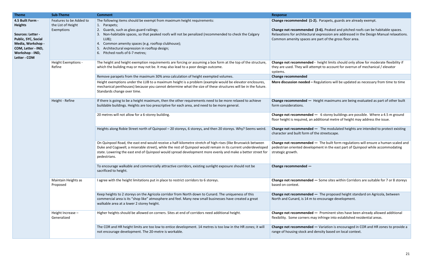**Change recommended —** Height maximums are being evaluated as part of other built

**20 metal For allow for allange is allow for a 6-storey buildings are possible. Where a 4.5 m ground** an additional metre of height may address the issue.

Hed – The modulated heights are intended to protect existing of the streetscape.

**Led** — The built form regulations will ensure a human scaled and elopment in the east part of Quinpool while accommodating

**Ied —** Some sites within Corridors are suitable for 7 or 8 storeys.

**Led** — The proposed height standard on Agricola, between m to encourage development.

**Hed —** Prominent sites have been already allowed additional flexionay infringe into established residential areas.

| <b>Theme</b>                                                                                                                                                 | <b>Sub-Theme</b>                                            | <b>Comment</b>                                                                                                                                                                                                                                                                                                                                                                                  | <b>Response</b>                                                                                                     |
|--------------------------------------------------------------------------------------------------------------------------------------------------------------|-------------------------------------------------------------|-------------------------------------------------------------------------------------------------------------------------------------------------------------------------------------------------------------------------------------------------------------------------------------------------------------------------------------------------------------------------------------------------|---------------------------------------------------------------------------------------------------------------------|
| 4.5 Built Form -<br><b>Heights</b><br>Sources: Letter -<br>Public, SYC, Social<br>Media, Workshop -<br>COM, Letter - IND,<br>Workshop - IND,<br>Letter - COM | Features to be Added to<br>the List of Height<br>Exemptions | The following items should be exempt from maximum height requirements:<br>1. Parapets;<br>2. Guards, such as glass guard railings;<br>Non-habitable spaces, so that peaked roofs will not be penalized (recommended to check the Calgary<br>LUB);<br>Common amenity spaces (e.g. rooftop clubhouse);<br>4.<br>Architectural expression in rooftop design;<br>Pitched roofs of 6-7 metres;<br>6. | <b>Change recommended (1</b><br><b>Change not recommende</b><br>Relaxations for architectu<br>Common amenity spaces |
|                                                                                                                                                              | Height Exemptions -<br>Refine                               | The height and height exemption requirements are forcing or assuming a box form at the top of the structure,<br>which the building may or may not be. It may also lead to a poor design outcome.                                                                                                                                                                                                | Change not recommende<br>they are used. They will at<br>systems.                                                    |
|                                                                                                                                                              |                                                             | Remove parapets from the maximum 30% area calculation of height exempted volumes.                                                                                                                                                                                                                                                                                                               | <b>Change recommended</b>                                                                                           |
|                                                                                                                                                              |                                                             | Height exemptions under the LUB to a maximum height is a problem (example would be elevator enclosures,<br>mechanical penthouses) because you cannot determine what the size of these structures will be in the future.<br>Standards change over time.                                                                                                                                          | More discussion needed -                                                                                            |
|                                                                                                                                                              | Height - Refine                                             | If there is going to be a height maximum, then the other requirements need to be more relaxed to achieve<br>buildable buildings. Heights are too prescriptive for each area, and need to be more general.                                                                                                                                                                                       | Change recommended -<br>form considerations.                                                                        |
|                                                                                                                                                              |                                                             | 20 metres will not allow for a 6-storey building.                                                                                                                                                                                                                                                                                                                                               | <b>Change not recommende</b><br>floor height is required, a                                                         |
|                                                                                                                                                              |                                                             | Heights along Robie Street north of Quinpool - 20 storeys, 6 storeys, and then 20 storeys. Why? Seems weird.                                                                                                                                                                                                                                                                                    | <b>Change not recommende</b><br>character and built form o                                                          |
|                                                                                                                                                              |                                                             | On Quinpool Road, the east end would receive a half-kilometre stretch of high-rises (like Brunswick between<br>Duke and Cogswell; a miserable street), while the rest of Quinpool would remain in its current underdeveloped<br>state. Lowering the east end of Quinpool would spread development more evenly and make a better street for<br>pedestrians.                                      | <b>Change not recommende</b><br>pedestrian oriented devel<br>strategic growth.                                      |
|                                                                                                                                                              |                                                             | To encourage walkable and commercially attractive corridors, existing sunlight exposure should not be<br>sacrificed to height.                                                                                                                                                                                                                                                                  | Change recommended -                                                                                                |
|                                                                                                                                                              | Maintain Heights as<br>Proposed                             | I agree with the height limitations put in place to restrict corridors to 6 storeys.                                                                                                                                                                                                                                                                                                            | <b>Change not recommende</b><br>based on context.                                                                   |
|                                                                                                                                                              |                                                             | Keep heights to 2 storeys on the Agricola corridor from North down to Cunard. The uniqueness of this<br>commercial area is its "shop like" atmosphere and feel. Many new small businesses have created a great<br>walkable area at a lower 2 storey height.                                                                                                                                     | <b>Change not recommende</b><br>North and Cunard, is 14 m                                                           |
|                                                                                                                                                              | Height Increase -<br>Generalized                            | Higher heights should be allowed on corners. Sites at end of corridors need additional height.                                                                                                                                                                                                                                                                                                  | <b>Change not recommende</b><br>flexibility. Some corners r                                                         |
|                                                                                                                                                              |                                                             | The COR and HR height limits are too low to entice development. 14 metres is too low in the HR zones; it will<br>not encourage development. The 20-metre is workable.                                                                                                                                                                                                                           | <b>Change not recommende</b><br>range of housing stock an                                                           |

**(1-2).** Parapets, guards are already exempt.

led (3-6). Peaked and pitched roofs can be habitable spaces. Intelaxation are addressed in the Design Manual relaxations. s are part of the gross floor area.

led - height limits should only allow for moderate flexibility if attempt to account for overrun of mechanical / elevator

**H** – Regulations will be updated as necessary from time to time

**Change 1** Variation is encouraged in COR and HR zones to provide a range of housing stock and density based on local context.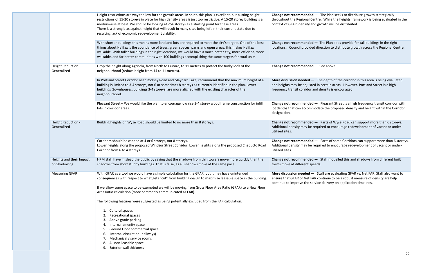|                                          | Height restrictions are way too low for the growth areas. In spirit, this plan is excellent, but putting height<br>restrictions of 15-20 storeys in place for high density areas is just too restrictive. A 15-20 storey building is a<br>medium-rise at best. We should be looking at 25+ storeys as a starting point for these areas.<br>There is a strong bias against height that will result in many sites being left in their current state due to<br>resulting lack of economic redevelopment viability. | <b>Change not recommende</b><br>throughout the Regional (<br>context of GFAR, density a |
|------------------------------------------|-----------------------------------------------------------------------------------------------------------------------------------------------------------------------------------------------------------------------------------------------------------------------------------------------------------------------------------------------------------------------------------------------------------------------------------------------------------------------------------------------------------------|-----------------------------------------------------------------------------------------|
|                                          | With shorter buildings this means more land and lots are required to meet the city's targets. One of the best<br>things about Halifax is the abundance of trees, green spaces, parks and open areas, this makes Halifax<br>walkable. With taller buildings in the right locations, we would have a much better city, more efficient, more<br>walkable, and far better communities with 100 buildings accomplishing the same targets for total units.                                                            | <b>Change not recommende</b><br>locations. Council provid                               |
| Height Reduction -<br>Generalized        | Drop the height along Agricola, from North to Cunard, to 11 metres to protect the funky look of the<br>neighbourhood (reduce height from 14 to 11 metres).                                                                                                                                                                                                                                                                                                                                                      | <b>Change not recommende</b>                                                            |
|                                          | In Portland Street Corridor near Rodney Road and Maynard Lake, recommend that the maximum height of a<br>building is limited to 3-4 storeys, not 6 or sometimes 8 storeys as currently identified in the plan. Lower<br>buildings (townhouses, buildings 3-4 storeys) are more aligned with the existing character of the<br>neighbourhood.                                                                                                                                                                     | More discussion needed<br>and heights may be adjust<br>frequency transit corridor       |
|                                          | Pleasant Street - We would like the plan to encourage low rise 3-4 storey wood frame construction for infill<br>lots in corridor areas.                                                                                                                                                                                                                                                                                                                                                                         | Change not recommende<br>lot depths that can accom<br>designation.                      |
| Height Reduction -<br>Generalized        | Building heights on Wyse Road should be limited to no more than 8 storeys.                                                                                                                                                                                                                                                                                                                                                                                                                                      | <b>Change not recommende</b><br>Additional density may be<br>utilized sites.            |
|                                          | Corridors should be capped at 4 or 6 storeys, not 8 storeys.<br>Lower heights along the proposed Windsor Street Corridor. Lower heights along the proposed Chebucto Road<br>Corridor from 6 to 4 storeys.                                                                                                                                                                                                                                                                                                       | Change not recommende<br>Additional density may be<br>utilized sites.                   |
| Heights and their Impact<br>on Shadowing | HRM staff have mislead the public by saying that the shadows from thin towers move more quickly than the<br>shadows from short stubby buildings. That is false, as all shadows move at the same pace.                                                                                                                                                                                                                                                                                                           | <b>Change not recommende</b><br>forms move at different s                               |
| <b>Measuring GFAR</b>                    | With GFAR as a tool we would have a simple calculation for the GFAR, but it may have unintended<br>consequences with respect to what gets "cut" from building design to maximize leasable space in the building.<br>If we allow some space to be exempted we will be moving from Gross Floor Area Ratio (GFAR) to a New Floor<br>Area Ratio calculation (more commonly communicated as FAR).                                                                                                                    | More discussion needed<br>ensure that GFAR or Net F<br>continue to improve the s        |
|                                          | The following features were suggested as being potentially excluded from the FAR calculation:<br>Cultural spaces<br>1.<br><b>Recreational spaces</b><br>Above grade parking<br>Internal amenity space                                                                                                                                                                                                                                                                                                           |                                                                                         |
|                                          | Ground Floor commercial space<br>5.<br>Internal circulation (hallways)<br>6.<br>Mechanical / service rooms<br>All non-leasable space<br>8.<br><b>Exterior wall thickness</b><br>9.                                                                                                                                                                                                                                                                                                                              |                                                                                         |

**ed** — The Plan seeks to distribute growth strategically Centre. While the heights framework is being evaluated in the and growth will be distributed.

**ed —** The Plan does provide for tall buildings in the right led direction to distribute growth across the Regional Centre.

**Ed** — See above.

 $-$  The depth of the corridor in this area is being evaluated ted in certain areas. However. Portland Street is a high frand density is encouraged.

**ed** — Pleasant Street is a high frequency transit corridor with nmodate the proposed density and height within the Corridor

**ed —** Parts of Wyse Road can support more than 6 storeys. e required to encourage redevelopment of vacant or under-

**ed** — Parts of some Corridors can support more than 6 storeys. exequired to encourage redevelopment of vacant or under-

**Ed** — Staff modelled this and shadows from different built speeds.

**Moreon Staff are evaluating GFAR vs. Net FAR. Staff also want to** FAR continue to be a robust measure of density are help service delivery on application timelines.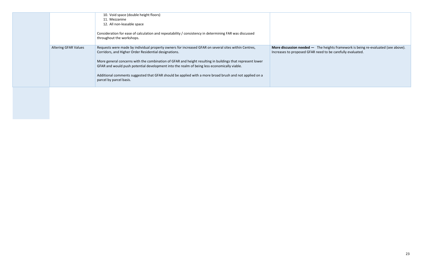|                             | 10. Void space (double height floors)<br>11. Mezzanine                                                                                                                                                   |                                                           |
|-----------------------------|----------------------------------------------------------------------------------------------------------------------------------------------------------------------------------------------------------|-----------------------------------------------------------|
|                             | 12. All non-leasable space                                                                                                                                                                               |                                                           |
|                             | Consideration for ease of calculation and repeatability / consistency in determining FAR was discussed<br>throughout the workshops.                                                                      |                                                           |
| <b>Altering GFAR Values</b> | Requests were made by individual property owners for increased GFAR on several sites within Centres,<br>Corridors, and Higher Order Residential designations.                                            | <b>More discussion needed</b><br>Increases to proposed GF |
|                             | More general concerns with the combination of GFAR and height resulting in buildings that represent lower<br>GFAR and would push potential development into the realm of being less economically viable. |                                                           |
|                             | Additional comments suggested that GFAR should be applied with a more broad brush and not applied on a<br>parcel by parcel basis.                                                                        |                                                           |
|                             |                                                                                                                                                                                                          |                                                           |

**More discussion needed —** The heights framework is being re-evaluated (see above). Increases to proposed GFAR need to be carefully evaluated.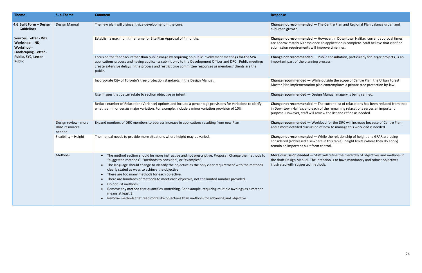| <b>Theme</b>                                                                     | <b>Sub-Theme</b>                                | <b>Comment</b>                                                                                                                                                                                                                                                                                                                                                                                                                                                                                                                                                                                                                                                                                                                                 | <b>Response</b>                                                                        |
|----------------------------------------------------------------------------------|-------------------------------------------------|------------------------------------------------------------------------------------------------------------------------------------------------------------------------------------------------------------------------------------------------------------------------------------------------------------------------------------------------------------------------------------------------------------------------------------------------------------------------------------------------------------------------------------------------------------------------------------------------------------------------------------------------------------------------------------------------------------------------------------------------|----------------------------------------------------------------------------------------|
| 4.6 Built Form - Design<br><b>Guidelines</b>                                     | Design Manual                                   | The new plan will disincentivize development in the core.                                                                                                                                                                                                                                                                                                                                                                                                                                                                                                                                                                                                                                                                                      | <b>Change not recommende</b><br>suburban growth.                                       |
| Sources: Letter - IND,<br>Workshop - IND,<br>Workshop -<br>Landscaping, Letter - |                                                 | Establish a maximum timeframe for Site Plan Approval of 4 months.                                                                                                                                                                                                                                                                                                                                                                                                                                                                                                                                                                                                                                                                              | <b>Change not recommende</b><br>are approximately 60 day<br>submission requirements    |
| Public, SYC, Letter-<br><b>Public</b>                                            |                                                 | Focus on the feedback rather than public image by requiring no public involvement meetings for the SPA<br>applications process and having applicants submit only to the Development Officer and DRC. Public meetings<br>create extensive delays in the process and restrict true committee responses as members' clients are the<br>public.                                                                                                                                                                                                                                                                                                                                                                                                    | <b>Change not recommende</b><br>important part of the plar                             |
|                                                                                  |                                                 | Incorporate City of Toronto's tree protection standards in the Design Manual.                                                                                                                                                                                                                                                                                                                                                                                                                                                                                                                                                                                                                                                                  | Change recommended -<br>Master Plan implementat                                        |
|                                                                                  |                                                 | Use images that better relate to section objective or intent.                                                                                                                                                                                                                                                                                                                                                                                                                                                                                                                                                                                                                                                                                  | Change recommended -                                                                   |
|                                                                                  |                                                 | Reduce number of Relaxation (Variance) options and include a percentage provisions for variations to clarify<br>what is a minor versus major variation. For example, include a minor variation provision of 10%.                                                                                                                                                                                                                                                                                                                                                                                                                                                                                                                               | Change not recommende<br>in Downtown Halifax, and<br>purpose. However, staff v         |
|                                                                                  | Design review - more<br>HRM resources<br>needed | Expand numbers of DRC members to address increase in applications resulting from new Plan                                                                                                                                                                                                                                                                                                                                                                                                                                                                                                                                                                                                                                                      | Change recommended -<br>and a more detailed discu                                      |
|                                                                                  | Flexibility - Height                            | The manual needs to provide more situations where height may be varied.                                                                                                                                                                                                                                                                                                                                                                                                                                                                                                                                                                                                                                                                        | <b>Change not recommende</b><br>considered (addressed els<br>remain an important built |
|                                                                                  | Methods                                         | The method section should be more instructive and not prescriptive. Proposal: Change the methods to<br>"suggested methods", "methods to consider", or "examples".<br>The language should change to identify the objective as the only clear requirement with the methods<br>$\bullet$<br>clearly stated as ways to achieve the objective.<br>There are too many methods for each objective.<br>There are hundreds of methods to meet each objective, not the limited number provided.<br>Do not list methods.<br>Remove any method that quantifies something. For example, requiring multiple awnings as a method<br>means at least 3.<br>Remove methods that read more like objectives than methods for achieving and objective.<br>$\bullet$ | More discussion needed<br>the draft Design Manual.<br>illustrated with suggested       |

### ed - The Centre Plan and Regional Plan balance urban and

**Ed — However, in Downtown Halifax, current approval times** ys once an application is complete. Staff believe that clarified s will improve timelines.

**Change 1** Public consultation, particularly for larger projects, is an nning process.

**While outside the scope of Centre Plan, the Urban Forest** ion plan contemplates a private tree protection by-law.

**Design Manual imagery is being refined.** 

**cd** — The current list of relaxations has been reduced from that I each of the remaining relaxations serves an important will review the list and refine as needed.

**Expands of DRC members of DRC members increase because of Centre Plan,**  $\overline{a}$ assion of how to manage this workload is needed.

**Ed** – While the relationship of height and GFAR are being sewhere in this table), height limits (where they do apply) t form control.

 $-$  Staff will refine the hierarchy of objectives and methods in The intention is to have mandatory and robust objectives imethods.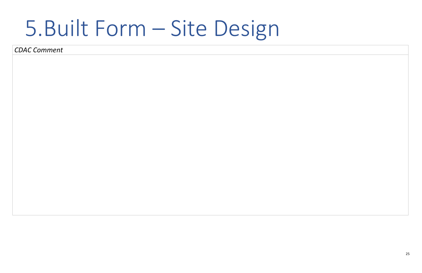25

## 5.Built Form – Site Design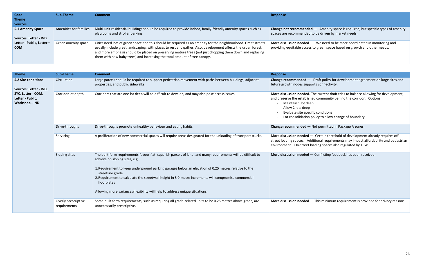| Code                                                | Sub-Theme              | <b>Comment</b>                                                                                                                                                                                                                                                                                                                                                                                                            | <b>Response</b>                                        |
|-----------------------------------------------------|------------------------|---------------------------------------------------------------------------------------------------------------------------------------------------------------------------------------------------------------------------------------------------------------------------------------------------------------------------------------------------------------------------------------------------------------------------|--------------------------------------------------------|
| <b>Theme</b>                                        |                        |                                                                                                                                                                                                                                                                                                                                                                                                                           |                                                        |
| <b>Sources</b>                                      |                        |                                                                                                                                                                                                                                                                                                                                                                                                                           |                                                        |
| 5.1 Amenity Space                                   | Amenities for families | Multi-unit residential buildings should be required to provide indoor, family-friendly amenity spaces such as<br>playrooms and stroller parking                                                                                                                                                                                                                                                                           | <b>Change not recommende</b><br>spaces are recommended |
| Sources: Letter - IND,<br>Letter - Public, Letter - |                        |                                                                                                                                                                                                                                                                                                                                                                                                                           |                                                        |
| <b>COM</b>                                          | Green amenity space    | Cities need lots of green space and this should be required as an amenity for the neighbourhood. Great streets<br>usually include great landscaping, with places to rest and gather. Also, development affects the urban forest,<br>and more emphasis should be placed on preserving mature trees (not just chopping them down and replacing<br>them with new baby trees) and increasing the total amount of tree canopy. | More discussion needed -<br>providing equitable access |

| <b>Theme</b>                                                    | <b>Sub-Theme</b>                    | <b>Comment</b>                                                                                                                                                                                                                                                                                                                                                                                                                                                                     | <b>Response</b>                                                                                                                             |
|-----------------------------------------------------------------|-------------------------------------|------------------------------------------------------------------------------------------------------------------------------------------------------------------------------------------------------------------------------------------------------------------------------------------------------------------------------------------------------------------------------------------------------------------------------------------------------------------------------------|---------------------------------------------------------------------------------------------------------------------------------------------|
| <b>5.2 Site conditions</b><br>Sources: Letter - IND,            | Circulation                         | Large parcels should be required to support pedestrian movement with paths between buildings, adjacent<br>properties, and public sidewalks.                                                                                                                                                                                                                                                                                                                                        | Change recommended -<br>future growth nodes supp                                                                                            |
| SYC, Letter - COM,<br>Letter - Public,<br><b>Workshop - IND</b> | Corridor lot depth                  | Corridors that are one lot deep will be difficult to develop, and may also pose access issues.                                                                                                                                                                                                                                                                                                                                                                                     | More discussion needed.<br>and preserve the establish<br>Maintain 1 lot dee<br>Allow 2 lots deep<br>Evaluate site spec<br>Lot consolidation |
|                                                                 | Drive-throughs                      | Drive-throughs promote unhealthy behaviour and eating habits                                                                                                                                                                                                                                                                                                                                                                                                                       | Change recommended -                                                                                                                        |
|                                                                 | Servicing                           | A proliferation of new commercial spaces will require areas designated for the unloading of transport trucks.                                                                                                                                                                                                                                                                                                                                                                      | More discussion needed<br>street loading spaces. Ad<br>environment. On-street                                                               |
|                                                                 | Sloping sites                       | The built form requirements favour flat, squarish parcels of land, and many requirements will be difficult to<br>achieve on sloping sites, e.g.:<br>1. Requirement to keep underground parking garages below an elevation of 0.25 metres relative to the<br>streetline grade<br>2. Requirement to calculate the streetwall height in 8.0-metre increments will compromise commercial<br>floorplates<br>Allowing more variances/flexibility will help to address unique situations. | More discussion needed                                                                                                                      |
|                                                                 | Overly prescriptive<br>requirements | Some built form requirements, such as requiring all grade-related units to be 0.25 metres above grade, are<br>unnecessarily prescriptive.                                                                                                                                                                                                                                                                                                                                          | More discussion needed                                                                                                                      |

**Change 3** Amenity space is required, but specific types of amenity I to be driven by market needs.

**—** We need to be more coordinated in monitoring and ss to green space based on growth and other needs.

**-** Draft policy for development agreement on large sites and ports connectivity.

**Porthum** Corridors that difficult and may also pose allowing for development, and may all may allow may allow may a shed community behind the corridor. Options: eep

cific conditions I policy to allow change of boundary

- Not permitted in Package A zones.

 $I -$  Certain threshold of development already requires offdditional requirements may impact affordability and pedestrian t loading spaces also regulated by TPW.

**More 2** Conflicting feedback has been received.

**M** — This minimum requirement is provided for privacy reasons.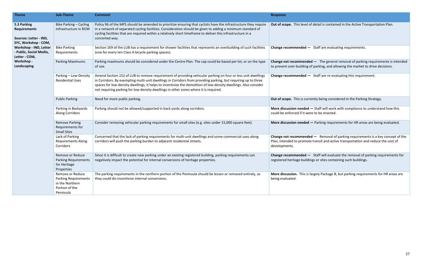**Change recommended —** Staff are evaluating requirements.

**Led —** The general removal of parking requirements is intended of parking, and allowing the market to drive decisions.

**-** Staff are re-evaluating this requirement.

Public Parating Tenstion more retails ween the public rently being considered in the Parking Strategy.

 $I -$  Staff will work with compliance to understand how this ere to be enacted.

**H** - Parking requirements for HR areas are being evaluated.

**Led** — Removal of parking requirements is a key concept of the te transit and active transportation and reduce the cost of

**-** Staff will evaluate the removal of parking requirements for lings or sites containing such buildings.

largely Package B, but parking requirements for HR areas are

| <b>Theme</b>                                                                         | <b>Sub-Theme</b>                                                                                  | <b>Comment</b>                                                                                                                                                                                                                                                                                                                                                                                                                             | <b>Response</b>                                                           |
|--------------------------------------------------------------------------------------|---------------------------------------------------------------------------------------------------|--------------------------------------------------------------------------------------------------------------------------------------------------------------------------------------------------------------------------------------------------------------------------------------------------------------------------------------------------------------------------------------------------------------------------------------------|---------------------------------------------------------------------------|
| 5.3 Parking<br><b>Requirements</b><br>Sources: Letter - IND,<br>SYC, Workshop - COM, | Bike Parking - Cycling<br>Infrastructure in ROW                                                   | Policy 96 of the MPS should be amended to prioritize ensuring that cyclists have the infrastructure they require<br>in a network of separated cycling facilities. Consideration should be given to adding a minimum standard of<br>cycling facilities that are required within a relatively short timeframe to deliver this infrastructure in a<br>concerted way.                                                                          | Out of scope. This level of                                               |
| Workshop - IND, Letter<br>- Public, Social Media,<br>Letter - COM,                   | <b>Bike Parking</b><br>Requirements                                                               | Section 169 of the LUB has a requirement for shower facilities that represents an overbuilding of such facilities<br>(one for every ten Class A bicycle parking spaces).                                                                                                                                                                                                                                                                   | Change recommended -                                                      |
| Workshop -<br>Landscaping                                                            | <b>Parking Maximums</b>                                                                           | Parking maximums should be considered under the Centre Plan. The cap could be based per lot, or on the type<br>of use.                                                                                                                                                                                                                                                                                                                     | Change not recommende<br>to prevent over-building                         |
|                                                                                      | Parking - Low-Density<br><b>Residential Uses</b>                                                  | Amend Section 152 of LUB to remove requirement of providing vehicular parking on four or less unit dwellings<br>in Corridors. By exempting multi-unit dwellings in Corridors from providing parking, but requiring up to three<br>spaces for low-density dwellings, it helps to incentivize the demolition of low-density dwellings. Also consider<br>not requiring parking for low-density dwellings in other zones where it is required. | Change recommended -                                                      |
|                                                                                      | <b>Public Parking</b>                                                                             | Need for more public parking.                                                                                                                                                                                                                                                                                                                                                                                                              | Out of scope. This is curr                                                |
|                                                                                      | Parking in Backyards<br>Along Corridors                                                           | Parking should not be allowed/supported in back yards along corridors.                                                                                                                                                                                                                                                                                                                                                                     | More discussion needed<br>could be enforced if it we                      |
|                                                                                      | <b>Remove Parking</b><br>Requirements for<br><b>Small Sites</b>                                   | Consider removing vehicular parking requirements for small sites (e.g. sites under 15,000 square feet).                                                                                                                                                                                                                                                                                                                                    | More discussion needed                                                    |
|                                                                                      | Lack of Parking<br><b>Requirements Along</b><br>Corridors                                         | Concerned that the lack of parking requirements for multi-unit dwellings and some commercial uses along<br>corridors will push the parking burden to adjacent residential streets.                                                                                                                                                                                                                                                         | <b>Change not recommende</b><br>Plan, intended to promot<br>developments. |
|                                                                                      | Remove or Reduce<br><b>Parking Requirements</b><br>for Heritage<br>Properties                     | Since it is difficult to create new parking under an existing registered building, parking requirements can<br>negatively impact the potential for internal conversions of heritage properties.                                                                                                                                                                                                                                            | Change recommended -<br>registered heritage buildi                        |
|                                                                                      | Remove or Reduce<br><b>Parking Requirements</b><br>in the Northern<br>Portion of the<br>Peninsula | The parking requirements in the northern portion of the Peninsula should be lessen or removed entirely, as<br>they could dis-incentivize internal conversions.                                                                                                                                                                                                                                                                             | More discussion. This is<br>being evaluated.                              |

of detail is contained in the Active Transportation Plan.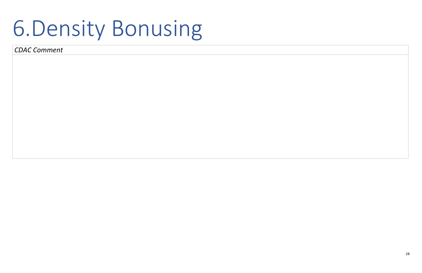# 6.Density Bonusing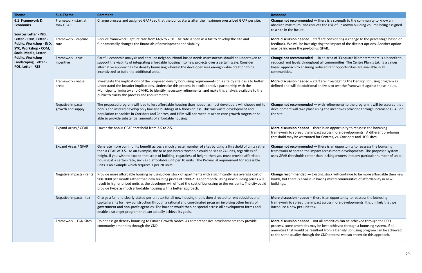**Change recommended —** Existing stock will continue to be more affordable then new ue in having mixed communities of affordability in new

 $-$  there is an opportunity to reassess the bonusing impact across more developments. It is unlikely that we : tax.

 $-$  not all amenities can be achieved through the CDD may be best achieved through a bonusing system. If all resultant from a Density Bonusing program can be achieved ugh the CDD process we can entertain this approach.

| <b>Theme</b>                                                                                                                | <b>Sub-Theme</b>                        | <b>Comment</b>                                                                                                                                                                                                                                                                                                                                                                                                                                                                                              | <b>Response</b>                                                                                          |
|-----------------------------------------------------------------------------------------------------------------------------|-----------------------------------------|-------------------------------------------------------------------------------------------------------------------------------------------------------------------------------------------------------------------------------------------------------------------------------------------------------------------------------------------------------------------------------------------------------------------------------------------------------------------------------------------------------------|----------------------------------------------------------------------------------------------------------|
| 6.1 Framework &<br><b>Economics</b>                                                                                         | Framework -start at<br>max GFAR         | Change process and assigned GFARs so that the bonus starts after the maximum prescribed GFAR per site.                                                                                                                                                                                                                                                                                                                                                                                                      | <b>Change not recommend</b><br>absolute maximum, and<br>to a site in the future.                         |
| Sources Letter - IND,<br>Letter - COM, Letter -<br>Public, Workshop - IND,<br>SYC, Workshop - COM,<br>Social Media, Letter- | Framework - capture<br>rate             | Reduce framework Capture rate from 66% to 25%. The rate is seen as a tax to develop the site and<br>fundamentally changes the financials of development and viability.                                                                                                                                                                                                                                                                                                                                      | More discussion needed<br>feedback. We will be inv<br>may be increase the pre-                           |
| Public, Workshop -<br>Landscaping, Letter -<br>POL, Letter - RES                                                            | Framework - true<br>incentive           | Careful economic analysis and detailed neighbourhood-based needs assessments should be undertaken to<br>support the viability of integrating affordable housing into new projects over a certain scale. Consider<br>alternative approaches for density bonussing wherein the developer sees enough value creation to be<br>incentivized to build the additional units.                                                                                                                                      | <b>Change not recommend</b><br>reduced rent levels throu<br>based approach to ensur<br>communities.      |
|                                                                                                                             | Framework - value<br>areas              | Investigate the implications of the proposed density bonussing requirements on a site by site basis to better<br>understand the broader implications. Undertake this process in a collaborative partnership with the<br>Municipality, industry and CMHC, to identify necessary refinements, and make this analysis available to the<br>public to clarify the process and requirements.                                                                                                                      | More discussion needed<br>defined and will do addit                                                      |
|                                                                                                                             | Negative impacts -<br>growth and supply | The proposed program will lead to less affordable housing than hoped, as most developers will choose not to<br>bonus and instead develop only low-rise buildings of 6 floors or less. This will waste development and<br>population capacities in Corridors and Centres, and HRM will not meet its urban core growth targets or be<br>able to provide substantial amounts of affordable housing.                                                                                                            | <b>Change not recommend</b><br>development will take pl<br>the site.                                     |
|                                                                                                                             | Expand Areas / GFAR                     | Lower the bonus GFAR threshold from 3.5 to 2.5.                                                                                                                                                                                                                                                                                                                                                                                                                                                             | More discussion needed<br>framework to spread the<br>threshold may be warrar                             |
|                                                                                                                             | Expand Areas / GFAR                     | Generate more community benefit across a much greater number of sites by using a threshold of units rather<br>than a GFAR of 3.5. As an example, the base pre-bonus threshold could be set at 24 units, regardless of<br>height. If you wish to exceed that scale of building, regardless of height, then you must provide affordable<br>housing at a certain rate, such as 1 affordable unit per 10 units. The Provincial requirement for accessible<br>units is an example which requires 1 per 20 units. | <b>Change not recommend</b><br>framework to spread the<br>uses GFAR thresholds rat                       |
|                                                                                                                             | Negative impacts - rents                | Provide more affordable housing by using older stock of apartments with a significantly less average cost of<br>900-1000 per month rather than new building prices of 1900-2100 per month. Using new building prices will<br>result in higher priced units as the developer will offload the cost of bonussing to the residents. The city could<br>provide twice as much affordable housing with a better approach.                                                                                         | Change recommended -<br>builds, but there is a valu<br>buildings.                                        |
|                                                                                                                             | Negative impacts - tax                  | Charge a fair and clearly-stated per-unit tax for all new housing that is then directed to rent subsidies and<br>capital grants for new construction through a rational and coordinated program involving other levels of<br>government and non-profit agencies. The burden would then be spread across all development forms and<br>enable a stronger program that can actually achieve its goals.                                                                                                         | More discussion needed<br>framework to spread the<br>introduce a new per-unit                            |
|                                                                                                                             | Framework - FGN Sites                   | Do not assign density bonusing to Future Growth Nodes. As comprehensive developments they provide<br>community amenities through the CDD.                                                                                                                                                                                                                                                                                                                                                                   | More discussion needed<br>process, some amenities<br>amenities that would be<br>to the same quality thro |

**Change 3** and as the math to the community to know an reduces the risk of unknown building volume being assigned

 $-$  staff are considering a change to the percentage based on restigating the impact of the distinct options. Another option bonus GFAR.

**Led** — in an area of 33 square kilometers there is a benefit to ughout all communities. The Centre Plan is taking a values ing reduced rent opportunities are available in all

**Morth 3rd indeptify discussion and Hore is also inverting** as tional analysis to test the framework against these inputs.

**Led** — with refinements to the program it will be assured that lace using the incentives provided through increased GFAR on

I – there is an opportunity to reassess the bonusing framework to spread the impact simpact across more developments. A different pre-bonus nted for Centres, vs. Corridors and HOR sites.

**Change 1** there is an opportunity to reassess the bonusing in mpact across more developments. The proposed system ther than locking owners into any particular number of units.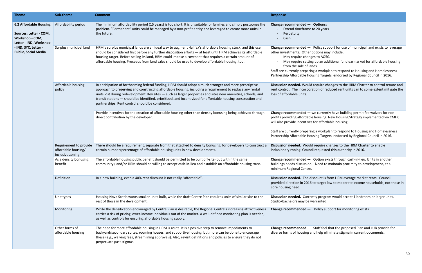**Discussion needed.** Would require changes to the HRM Charter to enable ncil requested this authority in 2016.

**-** Option exists through cash-in-lieu. Units in another on. Need to maintain proximity to development, at a

discount is from HRM average market rents. Council 6 to target low to moderate income households, not those in

rently program would accept 1 bedroom or larger units. warranted.

**Change recommended —** Staff feel that the proposed Plan and LUB provide for and help eliminate stigma in current documents.

| <b>Theme</b>                                                                                         | <b>Sub-theme</b>                                                  | <b>Comment</b>                                                                                                                                                                                                                                                                                                                                                                                                                                                                                             | <b>Response</b>                                                                                                                                                                       |
|------------------------------------------------------------------------------------------------------|-------------------------------------------------------------------|------------------------------------------------------------------------------------------------------------------------------------------------------------------------------------------------------------------------------------------------------------------------------------------------------------------------------------------------------------------------------------------------------------------------------------------------------------------------------------------------------------|---------------------------------------------------------------------------------------------------------------------------------------------------------------------------------------|
| <b>6.2 Affordable Housing</b><br>Sources: Letter - COM,<br>Workshop - COM,<br>Letter - IND, Workshop | Affordability period                                              | The minimum affordability period (15 years) is too short. It is unsuitable for families and simply postpones the<br>problem. "Permanent" units could be managed by a non-profit entity and leveraged to create more units in<br>the future.                                                                                                                                                                                                                                                                | Change recommended -<br>Extend timeframe t<br>Perpetuity<br>Cash                                                                                                                      |
| - IND, SYC, Letter -<br><b>Public, Social Media</b>                                                  | Surplus municipal land                                            | HRM's surplus municipal lands are an ideal way to augment Halifax's affordable housing stock, and this use<br>should be considered first before any further disposition efforts - at least until HRM achieves its affordable<br>housing target. Before selling its land, HRM could impose a covenant that requires a certain amount of<br>affordable housing. Proceeds from land sales should be used to develop affordable housing, too.                                                                  | Change recommended -<br>other investments. Other o<br>May require change<br>May require setting<br>from the sale of lar<br>Staff are currently preparin<br>Partnership Affordable Hou |
|                                                                                                      | Affordable housing<br>policy                                      | In anticipation of forthcoming federal funding, HRM should adopt a much stronger and more prescriptive<br>approach to preserving and constructing affordable housing, including a requirement to replace any rental<br>units lost during redevelopment. Key sites - such as larger properties and sites near amenities, schools, and<br>transit stations — should be identified, prioritized, and incentivized for affordable housing construction and<br>partnerships. Rent control should be considered. | Discussion needed. Would<br>rent control. The incorpora<br>loss of affordable units.                                                                                                  |
|                                                                                                      |                                                                   | Provide incentives for the creation of affordable housing other than density bonusing being achieved through<br>direct contribution by the developer.                                                                                                                                                                                                                                                                                                                                                      | Change recommended $-$ v<br>profits providing affordable<br>will also provide incentives<br>Staff are currently preparin<br>Partnership Affordable Hou                                |
|                                                                                                      | Requirement to provide<br>affordable housing/<br>inclusive zoning | There should be a requirement, separate from that attached to density bonusing, for developers to construct a<br>certain number/percentage of affordable housing units in new developments.                                                                                                                                                                                                                                                                                                                | Discussion needed. Would<br>inclusionary zoning. Counci                                                                                                                               |
|                                                                                                      | As a density bonusing<br>benefit                                  | The affordable housing public benefit should be permitted to be built off-site (but within the same<br>community), and/or HRM should be willing to accept cash-in-lieu and establish an affordable housing trust.                                                                                                                                                                                                                                                                                          | Change recommended -<br>buildings needs discussion.<br>minimum Regional Centre.                                                                                                       |
|                                                                                                      | Definition                                                        | In a new building, even a 40% rent discount is not really "affordable".                                                                                                                                                                                                                                                                                                                                                                                                                                    | Discussion needed. The dis<br>provided direction in 2016<br>core housing need.                                                                                                        |
|                                                                                                      | Unit types                                                        | Housing Nova Scotia wants smaller units built, while the draft Centre Plan requires units of similar size to the<br>rest of those in the development.                                                                                                                                                                                                                                                                                                                                                      | Discussion needed. Currer<br>Studio/bachelors may be w                                                                                                                                |
|                                                                                                      | Monitoring                                                        | While the densification encouraged by Centre Plan is desirable, the Regional Centre's increasing attractiveness<br>carries a risk of pricing lower-income individuals out of the market. A well-defined monitoring plan is needed,<br>as well as controls for ensuring affordable housing supply.                                                                                                                                                                                                          | Change recommended -                                                                                                                                                                  |
|                                                                                                      | Other forms of<br>affordable housing                              | The need for more affordable housing in HRM is acute. It is a positive step to remove impediments to<br>backyard/secondary suites, rooming houses, and supportive housing, but more can be done to encourage<br>these (e.g., waiving fees, streamlining approvals). Also, revisit definitions and policies to ensure they do not<br>perpetuate past stigmas.                                                                                                                                               | Change recommended -<br>diverse forms of housing ar                                                                                                                                   |

### **C** Options: e to 20 years

**-** Policy support for use of municipal land exists to leverage r options may include:

nges to AO50.

ing up an additional fund earmarked for affordable housing lands.

ring a workplan to respond to Housing and Homelessness Iousing Targets endorsed by Regional Council in 2016.

Id require changes to the HRM Charter to control tenure and oration of reduced rent units can to some extent mitigate the

- we currently have building permit fee waivers for nonble housing. New Housing Strategy implemented via CMHC es for affordable housing.

ring a workplan to respond to Housing and Homelessness Iousing Targets endorsed by Regional Council in 2016.

**Change recommended —** Policy support for monitoring exists.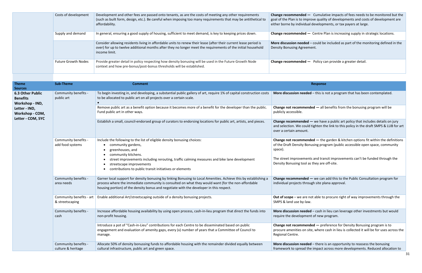| Costs of development       | Development and other fees are passed onto tenants, as are the costs of meeting any other requirements<br>(such as built form, design, etc.). Be careful when imposing too many requirements that may be antithetical to<br>affordability.        | Change recommended -<br>goal of the Plan is to impro<br>either borne by individual |
|----------------------------|---------------------------------------------------------------------------------------------------------------------------------------------------------------------------------------------------------------------------------------------------|------------------------------------------------------------------------------------|
| Supply and demand          | In general, ensuring a good supply of housing, sufficient to meet demand, is key to keeping prices down.                                                                                                                                          | Change recommended $-$                                                             |
|                            | Consider allowing residents living in affordable units to renew their lease (after their current lease period is<br>over) for up to twelve additional months after they no longer meet the requirements of the initial household<br>income limit. | More discussion needed -<br><b>Density Bonusing Agreeme</b>                        |
| <b>Future Growth Nodes</b> | Provide greater detail in policy respecting how density bonusing will be used in the Future Growth Node<br>context and how pre-bonus/post-bonus thresholds will be established.                                                                   | Change recommended $-$                                                             |

**Change recommended —** we can add this to the Public Consultation program for ugh site plana approval.

not able to procure right of way improvements through the

**ed** – cash in lieu can leverage other investments but would nt of new program.

**ded** — preference for Density Bonusing program is to ite, where cash in lieu is collected it will be for uses across the

**ed** – there is an opportunity to reassess the bonusing he impact across more developments. Reduced allocation to

| <b>Theme</b><br><b>Sources</b>                                | <b>Sub-Theme</b>                            | <b>Comment</b>                                                                                                                                                                                                                                                                                                    | <b>Response</b>                                                                              |
|---------------------------------------------------------------|---------------------------------------------|-------------------------------------------------------------------------------------------------------------------------------------------------------------------------------------------------------------------------------------------------------------------------------------------------------------------|----------------------------------------------------------------------------------------------|
| <b>6.3 Other Public</b><br><b>Benefits</b><br>Workshop - IND, | Community benefits -<br>public art          | To begin investing in, and developing, a substantial public gallery of art, require 1% of capital construction costs<br>to be allocated to public art on all projects over a certain scale.                                                                                                                       | More discussion needed $-$ this is r                                                         |
| Letter - IND,<br>Workshop - COM,                              |                                             | Remove public art as a benefit option because it becomes more of a benefit for the developer than the public.<br>Fund public art in other ways.                                                                                                                                                                   | Change not recommended - all b<br>publicly accessible.                                       |
| Letter - COM, SYC                                             |                                             | Establish a small, council-endorsed group of curators to endorsing locations for public art, artists, and pieces.                                                                                                                                                                                                 | Change recommended - we have<br>and selection. We could tighten th<br>over a certain amount. |
|                                                               | Community benefits -<br>add food systems    | Include the following to the list of eligible density bonusing choices:<br>community gardens,<br>greenhouses, and<br>community kitchens.                                                                                                                                                                          | Change not recommended $-$ the<br>of the Draft Density Bonusing prog<br>space).              |
|                                                               |                                             | street improvements including rerouting, traffic calming measures and bike lane development<br>streetscape improvements<br>contributions to public transit initiatives or elements                                                                                                                                | The street improvements and tran<br>Density Bonusing tool as they are                        |
|                                                               | Community benefits -<br>area needs          | Garner local support for density bonusing by linking Bonusing to Local Amenities. Achieve this by establishing a<br>process where the immediate community is consulted on what they would want (for the non-affordable<br>housing portion) of the density bonus and negotiate with the developer in this respect. | Change recommended - we can<br>individual projects through site pla                          |
|                                                               | Community benefits - art<br>& streetscaping | Enable additional Art/streetscaping outside of a density bonusing projects.                                                                                                                                                                                                                                       | Out of scope - we are not able to<br>SMPS & land use by-law.                                 |
|                                                               | Community benefits -<br>cash                | Increase affordable housing availability by using open process, cash-in-lieu program that direct the funds into<br>non-profit housing.                                                                                                                                                                            | More discussion needed $-$ cash in<br>require the development of new p                       |
|                                                               |                                             | Introduce a pot of "Cash-in-Lieu" contributions for each Centre to be disseminated based on public<br>engagement and evaluation of amenity gaps, every (x) number of years that a Committee of Council to<br>manage.                                                                                              | Change not recommended - pret<br>procure amenities on site, where o<br>Regional Centre.      |
|                                                               | Community benefits -<br>culture & heritage  | Allocate 50% of density bonussing funds to affordable housing with the remainder divided equally between<br>cultural infrastructure, public art and green space.                                                                                                                                                  | More discussion needed - there is<br>framework to spread the impact a                        |

Cumulative impacts of fees needs to be monitored but the ove quality of developments and costs of development are developments, or tax payers at large.

Centre Plan is increasing supply in strategic locations.

- could be included as part of the monitoring defined in the ent.

Policy can provide a greater detail.

**ed** – this is not a program that has been contemplated.

**ded** — all benefits from the bonusing program will be

- we have a public art policy that includes details on jury d tighten the link to this policy in the draft SMPS & LUB for art

**ded** — the garden & kitchen options fit within the definitions nusing program (public accessible open space, community

Its and transit improvements can't be funded through the as they are off-site.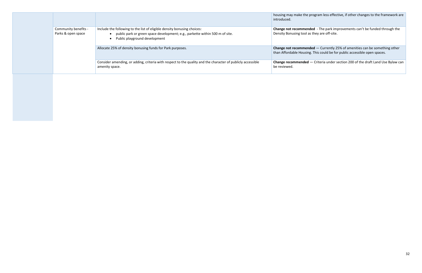|                                            |                                                                                                                                                                                            | housing may make the p<br>introduced.                   |
|--------------------------------------------|--------------------------------------------------------------------------------------------------------------------------------------------------------------------------------------------|---------------------------------------------------------|
| Community benefits -<br>Parks & open space | Include the following to the list of eligible density bonusing choices:<br>• public park or green space development; e.g., parkette within 500 m of site.<br>Public playground development | <b>Change not recommend</b><br>Density Bonusing tool as |
|                                            | Allocate 25% of density bonusing funds for Park purposes.                                                                                                                                  | <b>Change not recommend</b><br>than Affordable Housing  |
|                                            | Consider amending, or adding, criteria with respect to the quality and the character of publicly accessible<br>amenity space.                                                              | Change recommended -<br>be reviewed.                    |
|                                            |                                                                                                                                                                                            |                                                         |

program less effective, if other changes to the framework are

**ded** - The park improvements can't be funded through the  $s$  they are off-site.

**ded** — Currently 25% of amenities can be something other g. This could be for public accessible open spaces.

**Change recommended** — Criteria under section 200 of the draft Land Use Bylaw can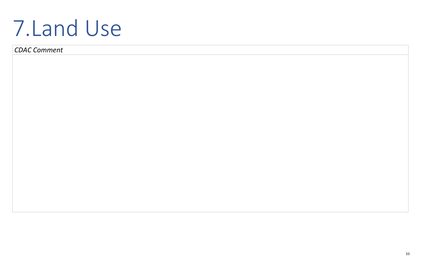33

# 7.Land Use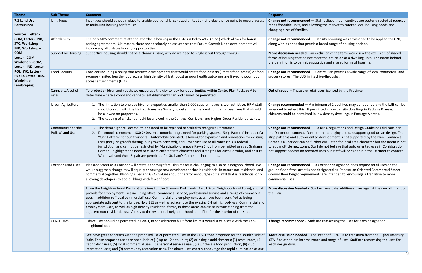**Change not recommended —** Density bonusing was envisioned to be applied to FGNs, rmit a broad range of housing options.

an exclusion of the term would risk the exclusion of shared ot meet the definition of a dwelling unit. The intent behind supportive and shared forms of housing.

 $-$  Centre Plan permits a wide range of local commercial and mits drive-throughs.

retail uses licensed by the Province.

A minimum of 2 beehives may be required and the LUB can be permitted in low density dwellings in Package B areas, ed in low density dwellings in Package A areas.

**Change not recommended —** Policies, regulations and Design Guidelines did consider artmouth s changing and can support good urban design. The ented development is not supported by the Plan. Graham's further evaluated for local area character but the intent is not Staff do not believe that auto oriented uses in Corridors do ented uses but staff will consider it in the Dartmouth context.

**Change not recommended —** a Corridor designation does require retail uses on the inot designated as Pedestrian Oriented Commercial Street. ements are intended to encourage a transition to more

Staff will evaluate additional uses against the overall intent of

**Chalange Figs** is staff are reassessing the uses for each designation.

**-** The intent of CEN-1 is to transition from the Higher intensity checases and range of uses. Staff are reassessing the uses for

| <b>Theme</b>                                                             | <b>Sub-Theme</b>                             | <b>Comment</b>                                                                                                                                                                                                                                                                                                                                                                                                                                                                                                                                                                                                                                                                                                                        | <b>Response</b>                                                                                                                                                                        |
|--------------------------------------------------------------------------|----------------------------------------------|---------------------------------------------------------------------------------------------------------------------------------------------------------------------------------------------------------------------------------------------------------------------------------------------------------------------------------------------------------------------------------------------------------------------------------------------------------------------------------------------------------------------------------------------------------------------------------------------------------------------------------------------------------------------------------------------------------------------------------------|----------------------------------------------------------------------------------------------------------------------------------------------------------------------------------------|
| 7.1 Land Use -<br><b>Permissions</b><br>Sources: Letter -                | Unit Types                                   | Incentives should be put in place to enable additional larger sized units at an affordable price point to ensure access<br>to multi-unit housing for families.                                                                                                                                                                                                                                                                                                                                                                                                                                                                                                                                                                        | <b>Change not recommended</b><br>rent affordable units, and a<br>changing sizes of families.                                                                                           |
| COM, Letter - IND,<br>SYC, Workshop -<br>IND, Workshop-                  | Affordability                                | The only MPS comment related to affordable housing in the FGN's is Policy 49 k. (p. 51) which allows for bonus<br>zoning agreements. Ultimately, there are absolutely no assurances that Future Growth Node developments will<br>include any affordable housing opportunities.                                                                                                                                                                                                                                                                                                                                                                                                                                                        | <b>Change not recommended</b><br>along with a zones that per                                                                                                                           |
| <b>COM</b><br>Letter - COM,<br>Workshop - COM,<br>Letter - IND, Letter - | <b>Supportive Housing</b>                    | Supportive housing should not be a planning issue, why do we need to single it out through zoning?                                                                                                                                                                                                                                                                                                                                                                                                                                                                                                                                                                                                                                    | More discussion needed -<br>forms of housing that do no<br>the definition is to permit s                                                                                               |
| POL, SYC, Letter -<br>Public, Letter - RES,<br>Workshop -<br>Landscaping | <b>Food Security</b>                         | Consider including a policy that restricts developments that would create food deserts (limited food access) or food<br>swamps (limited healthy food access, high density of fast foods) as poor health outcomes are linked to poor food<br>access environments (HIA).                                                                                                                                                                                                                                                                                                                                                                                                                                                                | <b>Change not recommended</b><br>grocery stores. The LUB lin                                                                                                                           |
|                                                                          | Cannabis/Alcohol<br>retail                   | To protect children and youth, we encourage the city to look for opportunities within Centre Plan Package A to<br>determine where alcohol and cannabis establishments can and cannot be permitted.                                                                                                                                                                                                                                                                                                                                                                                                                                                                                                                                    | Out of scope - These are r                                                                                                                                                             |
|                                                                          | Urban Agriculture                            | The limitation to one bee hive for properties smaller than 2,000 square metres is too restrictive. HRM staff<br>1.<br>should consult with the Halifax Honeybee Society to determine the ideal number of bee hives that should<br>be allowed on properties.<br>The keeping of chickens should be allowed in the Centres, Corridors, and Higher-Order Residential zones.<br>2.                                                                                                                                                                                                                                                                                                                                                          | Change recommended $-$ /<br>amended to reflect this. If<br>chickens could be permitte                                                                                                  |
|                                                                          | <b>Community Specific</b><br>Policy/Land Use | The details ignore Dartmouth and need to be replaced or scaled to recognize Dartmouth.<br>Dartmouth commercial \$80-240/sqm economic range, need for parking spaces, "Strip Pattern" instead of a<br>2.<br>"Grid Pattern" for our Corridors - Automobile oriented, allowing for expansion and renovation for existing<br>uses (not just grandfathering, but growth oriented), add Broadcast use to all zones (this is federal<br>jurisdiction and cannot be restricted by Municipality), remove Pawn Shop from permitted uses at Grahams<br>Corner - highlights the need to custom differentiate character and strengths for each Corridor, and ensure<br>Wholesale and Auto Repair are permitted for Graham's Corner anchor tenants. | <b>Change not recommended</b><br>the Dartmouth context. Da<br>strip patterns and auto-orie<br>Corner is a Corridor can be<br>to add multiple new zones.<br>not support pedestrian orie |
|                                                                          | <b>Corridor Land Uses</b>                    | Pleasant Street as a Corridor will create a thoroughfare. This makes it challenging to also be a neighbourhood. We<br>would suggest a change to will equally encourage new development that is residential in nature not residential and<br>commercial together. Planning rules and GFAR values should therefor encourage some infill that is residential only<br>allowing developers to add buildings with fewer floors.                                                                                                                                                                                                                                                                                                             | <b>Change not recommended</b><br>ground floor if the street is<br>Ground floor height require<br>commercial uses.                                                                      |
|                                                                          |                                              | From the Neighbourhood Design Guidelines for the Shannon Park Lands, Part 1.2(b) (Neighbourhood Form), should<br>provide for employment uses including office, commercial service, professional service and a range of commercial<br>uses in addition to "local commercial" use. Commercial and employment uses have been identified as being<br>appropriate adjacent to the bridge/Hwy.111 as well as adjacent to the existing CN rail right-of-way. Commercial and<br>employment uses, as well as high density residential forms, in these areas can assist in transitioning from the<br>adjacent non-residential uses/areas to the residential neighbourhood identified for the interior of the site.                              | <b>More discussion Needed -</b><br>the Plan.                                                                                                                                           |
|                                                                          | CEN-1 Uses                                   | Office uses should be permitted in Cen-1, in consideration built form limits it would stay in scale with the Cen-1<br>neighbourhood.                                                                                                                                                                                                                                                                                                                                                                                                                                                                                                                                                                                                  | <b>Change recommended - S</b>                                                                                                                                                          |
|                                                                          |                                              | We have great concerns with the proposed list of permitted uses in the CEN-1 zone proposed for the south's side of<br>Yale. These proposed uses are not suitable: (1) up to 12 apt. units; (2) drinking establishments; (3) restaurants; (4)<br>fabrication uses; (5) local commercial uses; (6) personal services uses; (7) wholesale food production; (8) club<br>recreation uses; and (9) community recreation uses. The above uses overtly encourage the rapid elimination of our                                                                                                                                                                                                                                                 | More discussion needed -<br>CEN-2 to other less intense<br>each designation.                                                                                                           |

 $-$  Staff believe that incentives are better directed at reduced allowing the market to cater to local housing needs and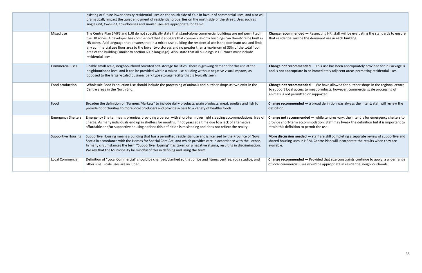**Change not recommended —** while tenures vary, the intent is for emergency shelters to modation. Staff may tweak the definition but it is important to mit the use.

- staff are still completing a separate review of supportive and M. Centre Plan will incorporate the results when they are

Provided that size constraints continue to apply, a wider range ould be appropriate in residential neighbourhoods.

|                           | existing or future lower density residential uses on the south side of Yale in favour of commercial uses, and also will<br>dramatically impact the quiet enjoyment of residential properties on the north side of the street. Uses such as<br>single unit, two-unit, townhouses and similar uses are appropriate for Cen-1.                                                                                                                                                                                                                                                                                             |                                                                                              |
|---------------------------|-------------------------------------------------------------------------------------------------------------------------------------------------------------------------------------------------------------------------------------------------------------------------------------------------------------------------------------------------------------------------------------------------------------------------------------------------------------------------------------------------------------------------------------------------------------------------------------------------------------------------|----------------------------------------------------------------------------------------------|
| Mixed use                 | The Centre Plan SMPS and LUB do not specifically state that stand-alone commercial buildings are not permitted in<br>the HR zones. A developer has commented that it appears that commercial-only buildings can therefore be built in<br>HR zones. Add language that ensures that in a mixed use building the residential use is the dominant use and limit<br>any commercial use floor area to the lower two storeys and no greater than a maximum of 33% of the total floor<br>area of the building (similar to section 60 in language). Also, state that all buildings in HR zones must include<br>residential uses. | Change recommended - I<br>that residential will be the                                       |
| Commercial uses           | Enable small scale, neighbourhood oriented self-storage facilities. There is growing demand for this use at the<br>neighbourhood level and it can be provided within a mixed-use building without negative visual impacts, as<br>opposed to the larger-scaled business park type storage facility that is typically seen.                                                                                                                                                                                                                                                                                               | <b>Change not recommended</b><br>and is not appropriate in or                                |
| Food production           | Wholesale Food Production Use should include the processing of animals and butcher shops as two exist in the<br>Centre areas in the North End.                                                                                                                                                                                                                                                                                                                                                                                                                                                                          | <b>Change not recommended</b><br>to support local access to n<br>animals is not permitted or |
| Food                      | Broaden the definition of "Farmers Markets" to include dairy products, grain products, meat, poultry and fish to<br>provide opportunities to more local producers and provide access to a variety of healthy foods.                                                                                                                                                                                                                                                                                                                                                                                                     | Change recommended $-$ a<br>definition.                                                      |
| <b>Emergency Shelters</b> | Emergency Shelter means premises providing a person with short-term overnight sleeping accommodations, free of<br>charge. As many individuals end up in shelters for months, if not years at a time due to a lack of alternative<br>affordable and/or supportive housing options this definition is misleading and does not reflect the reality.                                                                                                                                                                                                                                                                        | <b>Change not recommended</b><br>provide short-term accomn<br>retain this definition to per  |
| <b>Supportive Housing</b> | Supportive Housing means a building that has a permitted residential use and is licensed by the Province of Nova<br>Scotia in accordance with the Homes for Special Care Act, and which provides care in accordance with the license.<br>In many circumstances the term "Supportive Housing" has taken on a negative stigma, resulting in discrimination.<br>We ask that the Municipality be mindful of this in defining and using the term.                                                                                                                                                                            | More discussion needed -<br>shared housing uses in HRN<br>available.                         |
| <b>Local Commercial</b>   | Definition of "Local Commercial" should be changed/clarified so that office and fitness centres, yoga studios, and<br>other small scale uses are included.                                                                                                                                                                                                                                                                                                                                                                                                                                                              | Change recommended - F<br>of local commercial uses we                                        |

Respecting HR, staff will be evaluating the standards to ensure dominant use in each building.

**Fhange 1 —** This use has been appropriately provided for in Package B r immediately adjacent areas permitting residential uses.

**Change 1** We have allowed for butcher shops in the regional centre meat products, however, commercial scale processing of supported.

a broad definition was always the intent; staff will review the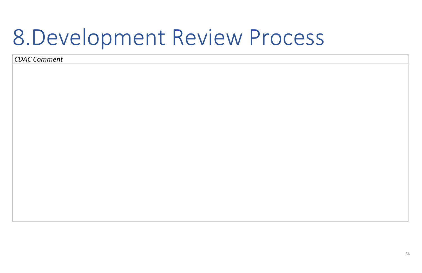### 8.Development Review Process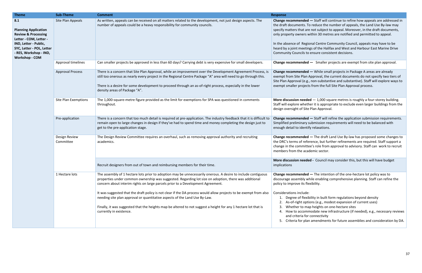**Change recommended —** While small projects in Package A areas are already Approval, the current documents do not specify two tiers of , non-substantive and substantive). Staff will explore ways to s from the full Site Plan Approval process.

**M** - 1,000 square metres is roughly a four-storey building. Ier it is appropriate to exclude even larger buildings from the Plan Approval.

 $-$  Staff will refine the application submission requirements. submission requirements will need to be balanced with fy relaxations.

**Change recommended —** The draft Land Use By-law has proposed some changes to rence, but further refinements are required. Staff support a ee's role from approval to advisory. Staff can work to recruit demic sector.

**d** - Council may consider this, but this will have budget

 $-$  The intention of the one-hectare lot policy was to hile enabling comprehensive planning. Staff can refine the policy to improve its flexibility.

bility in built form regulations beyond density

- ions (e.g., modest expansion of current uses)
- p heights on one-hectare sites
- modate new infrastructure (if needed), e.g., necessary reviews connectivity
- amendments for future assemblies and consideration by DA.

| <b>Theme</b>                                                                                                                                                                                            | <b>Sub-Theme</b>            | <b>Comment</b>                                                                                                                                                                                                                                                                                                                                                                                                                 | <b>Response</b>                                                                                                                                                                                   |
|---------------------------------------------------------------------------------------------------------------------------------------------------------------------------------------------------------|-----------------------------|--------------------------------------------------------------------------------------------------------------------------------------------------------------------------------------------------------------------------------------------------------------------------------------------------------------------------------------------------------------------------------------------------------------------------------|---------------------------------------------------------------------------------------------------------------------------------------------------------------------------------------------------|
| 8.1<br><b>Planning Application</b><br><b>Review &amp; Processing</b><br>Letter - COM, Letter -<br>IND, Letter - Public,<br>SYC, Letter - POL, Letter<br>- RES, Workshop - IND,<br><b>Workshop - COM</b> | Site Plan Appeals           | As written, appeals can be received on all matters related to the development, not just design aspects. The<br>number of appeals could be a heavy responsibility for community councils.                                                                                                                                                                                                                                       | <b>Change recommended</b><br>the draft documents. To<br>specify matters that are<br>only property owners w<br>In the absence of Regio<br>heard by a joint meeting<br><b>Community Councils to</b> |
|                                                                                                                                                                                                         | Approval timelines          | Can smaller projects be approved in less than 60 days? Carrying debt is very expensive for small developers.                                                                                                                                                                                                                                                                                                                   | <b>Change recommended</b>                                                                                                                                                                         |
|                                                                                                                                                                                                         | <b>Approval Process</b>     | There is a concern that Site Plan Approval, while an improvement over the Development Agreement Process, is<br>still too onerous as nearly every project in the Regional Centre Package "A" area will need to go through this.<br>There is a desire for some development to proceed through an as-of-right process, especially in the lower<br>density areas of Package "A".                                                   | <b>Change recommended</b><br>exempt from Site Plan A<br>Site Plan Approval (e.g.,<br>exempt smaller projects                                                                                      |
|                                                                                                                                                                                                         | <b>Site Plan Exemptions</b> | The 1,000-square-metre figure provided as the limit for exemptions for SPA was questioned in comments<br>throughout.                                                                                                                                                                                                                                                                                                           | More discussion neede<br>Staff will explore wheth<br>design oversight of Site                                                                                                                     |
|                                                                                                                                                                                                         | Pre-application             | There is a concern that too much detail is required at pre-application. The industry feedback that it is difficult to<br>remain open to large changes in design if they've had to spend time and money completing the design just to<br>get to the pre-application stage.                                                                                                                                                      | <b>Change recommended</b><br>Simplified preliminary s<br>enough detail to identif                                                                                                                 |
|                                                                                                                                                                                                         | Design Review<br>Committee  | The Design Review Committee requires an overhaul, such as removing approval authority and recruiting<br>academics.                                                                                                                                                                                                                                                                                                             | <b>Change recommended</b><br>the DRC's terms of refer<br>change in the committe<br>members from the acad                                                                                          |
|                                                                                                                                                                                                         |                             | Recruit designers from out of town and reimbursing members for their time.                                                                                                                                                                                                                                                                                                                                                     | More discussion neede<br>implications                                                                                                                                                             |
|                                                                                                                                                                                                         | 1 Hectare lots              | The assembly of 1 hectare lots prior to adoption may be unnecessarily onerous. A desire to include contiguous<br>properties under common ownership was suggested. Regarding lot size on adoption, there was additional<br>concern about interim rights on large parcels prior to a Development Agreement.<br>It was suggested that the draft policy is not clear if the DA process would allow projects to be exempt from also | <b>Change recommended</b><br>discourage assembly wh<br>policy to improve its fle:<br>Considerations include:                                                                                      |
|                                                                                                                                                                                                         |                             | needing site plan approval or quantitative aspects of the Land Use By-Law.<br>Finally, it was suggested that the heights map be altered to not suggest a height for any 1 hectare lot that is<br>currently in existence.                                                                                                                                                                                                       | Degree of flexib<br>1.<br>2. As-of-right option<br>Whether to may<br>4. How to accomm<br>and criteria for<br>5. Criteria for plan                                                                 |

 $-$  Staff will continue to refine how appeals are addressed in o reduce the number of appeals, the Land Use By-law may e not subject to appeal. Moreover, in the draft documents, vithin 30 metres are notified and permitted to appeal.

In the Community Council, appeals may have to be gs of the Halifax and West and Harbour East Marine Drive ensure consistent decisions.

 $-$  Smaller projects are exempt from site plan approval.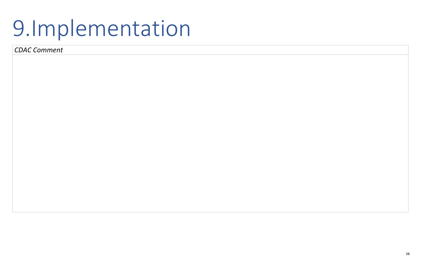38

# 9.Implementation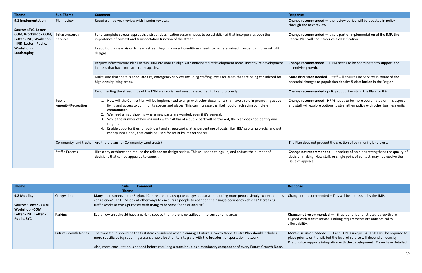| <b>Theme</b>                                                                                           | <b>Sub-Theme</b>             | <b>Comment</b>                                                                                                                                                                                                                                                                                                                                                                                                                                                                                                                                                                                                                                               | <b>Response</b>                                   |
|--------------------------------------------------------------------------------------------------------|------------------------------|--------------------------------------------------------------------------------------------------------------------------------------------------------------------------------------------------------------------------------------------------------------------------------------------------------------------------------------------------------------------------------------------------------------------------------------------------------------------------------------------------------------------------------------------------------------------------------------------------------------------------------------------------------------|---------------------------------------------------|
| 9.1 Implementation<br>Sources: SYC, Letter -                                                           | Plan review                  | Require a five-year review with interim reviews.                                                                                                                                                                                                                                                                                                                                                                                                                                                                                                                                                                                                             | <b>Change recom</b><br>through the ne             |
| COM, Workshop - COM,<br>Letter - IND, Workshop<br>- IND, Letter - Public,<br>Workshop -<br>Landscaping | Infrastructure /<br>Services | For a complete streets approach, a street classification system needs to be established that incorporates both the<br>importance of context and transportation function of the street.<br>In addition, a clear vision for each street (beyond current conditions) needs to be determined in order to inform retrofit<br>designs.                                                                                                                                                                                                                                                                                                                             | <b>Change recom</b><br>Centre Plan wi             |
|                                                                                                        |                              | Require Infrastructure Plans within HRM divisions to align with anticipated redevelopment areas. Incentivize development<br>in areas that have infrastructure capacity.                                                                                                                                                                                                                                                                                                                                                                                                                                                                                      | <b>Change recom</b><br>incentivize gro            |
|                                                                                                        |                              | Make sure that there is adequate fire, emergency services including staffing levels for areas that are being considered for<br>high density living areas.                                                                                                                                                                                                                                                                                                                                                                                                                                                                                                    | More discussi<br>potential chan                   |
|                                                                                                        |                              | Reconnecting the street grids of the FGN are crucial and must be executed fully and properly.                                                                                                                                                                                                                                                                                                                                                                                                                                                                                                                                                                | <b>Change recom</b>                               |
|                                                                                                        | Public<br>Amenity/Recreation | 1. How will the Centre Plan will be implemented to align with other documents that have a role in promoting active<br>living and access to community spaces and places. This can increase the likelihood of achieving complete<br>communities.<br>2. We need a map showing where new parks are wanted, even if it's general.<br>While the number of housing units within 400m of a public park will be tracked, the plan does not identify any<br>targets.<br>Enable opportunities for public art and streetscaping at as percentage of costs, like HRM capital projects, and put<br>4.<br>money into a pool, that could be used for art hubs, maker spaces. | Change recom<br>and staff will e                  |
|                                                                                                        | Community land trusts        | Are there plans for Community Land trusts?                                                                                                                                                                                                                                                                                                                                                                                                                                                                                                                                                                                                                   | The Plan does                                     |
|                                                                                                        | Staff / Process              | Hire a city architect and reduce the reliance on design review. This will speed things up, and reduce the number of<br>decisions that can be appealed to council.                                                                                                                                                                                                                                                                                                                                                                                                                                                                                            | Change not re<br>decision makin<br>issue of appea |

| <b>Theme</b>                                              |                            | Sub-<br><b>Comment</b><br><b>Theme</b>                                                                                                                                                                                                                                                                                                                          | <b>Response</b>                                        |
|-----------------------------------------------------------|----------------------------|-----------------------------------------------------------------------------------------------------------------------------------------------------------------------------------------------------------------------------------------------------------------------------------------------------------------------------------------------------------------|--------------------------------------------------------|
| 9.2 Mobility<br>Sources: Letter - COM,<br>Workshop - COM, | Congestion                 | Many main streets in the Regional Centre are already quite congested, so won't adding more people simply exacerbate this<br>congestion? Can HRM look at other ways to encourage people to abandon their single-occupancy vehicles? Increasing<br>traffic works at cross-purposes with trying to become "pedestrian-first".                                      | Change not rec                                         |
| Letter - IND, Letter -<br><b>Public, SYC</b>              | Parking                    | Every new unit should have a parking spot so that there is no spillover into surrounding areas.                                                                                                                                                                                                                                                                 | Change not rec<br>aligned with tra<br>affordability.   |
|                                                           | <b>Future Growth Nodes</b> | The transit hub should be the first item considered when planning a Future Growth Node. Centre Plan should include a<br>more specific policy requiring a transit hub's location to integrate with the broader transportation network.<br>Also, more consultation is needed before requiring a transit hub as a mandatory component of every Future Growth Node. | More discussio<br>place priority o<br>Draft policy sup |

**nmended** — the review period will be updated in policy ext review.

**nmended** — this is part of implementation of the IMP, the ill not introduce a classification.

**nmended** — HRM needs to be coordinated to support and wth.

**Ion needed** – Staff will ensure Fire Services is aware of the ges to population density & distribution in the Region.

**nmended** - policy support exists in the Plan for this.

**nmended** - HRM needs to be more coordinated on this aspect explore options to strengthen policy with other business units.

not prevent the creation of community land trusts.

**Commended** — a variety of opinions strengthens the quality of ng. New staff, or single point of contact, may not resolve the ils.

 $commoned - This will be addressed by the IMP.$ 

commended  $-$  Sites identified for strategic growth are ansit service. Parking requirements are antithetical to

**on needed** — Each FGN is unique. All FGNs will be required to on transit, but the level of service will depend on density. pports integration with the development. Three have detailed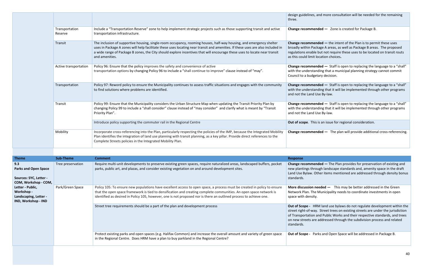|                           |                                                                                                                                                                                                                                                                                                                                                                                                       | design guidelir<br>three.                                                    |
|---------------------------|-------------------------------------------------------------------------------------------------------------------------------------------------------------------------------------------------------------------------------------------------------------------------------------------------------------------------------------------------------------------------------------------------------|------------------------------------------------------------------------------|
| Transportation<br>Reserve | Include a "Transportation Reserve" zone to help implement strategic projects such as those supporting transit and active<br>transportation infrastructure.                                                                                                                                                                                                                                            | <b>Change recom</b>                                                          |
| Transit                   | The inclusion of supportive housing, single-room occupancy, rooming houses, half-way housing, and emergency shelter<br>uses in Package A zones will help facilitate these uses locating near transit and amenities. If these uses are also included in<br>a wide range of Package B zones, the City should explore incentives that will encourage these uses to locate near transit<br>and amenities. | <b>Change recom</b><br>broadly within<br>regulations en<br>as this could lir |
| Active transportation     | Policy 96: Ensure that the policy improves the safety and convenience of active<br>transportation options by changing Policy 96 to include a "shall continue to improve" clause instead of "may".                                                                                                                                                                                                     | <b>Change recom</b><br>with the under<br>Council to a bu                     |
| Transportation            | Policy 97: Reword policy to ensure the Municipality continues to assess traffic situations and engages with the community<br>to find solutions where problems are identified.                                                                                                                                                                                                                         | <b>Change recom</b><br>with the under<br>and not the La                      |
| Transit                   | Policy 99: Ensure that the Municipality considers the Urban Structure Map when updating the Transit Priority Plan by<br>changing Policy 99 to include a "shall consider" clause instead of "may consider" and clarify what is meant by "Transit<br>Priority Plan".                                                                                                                                    | <b>Change recom</b><br>with the under<br>and not the La                      |
|                           | Introduce policy supporting the commuter rail in the Regional Centre                                                                                                                                                                                                                                                                                                                                  | Out of scope.                                                                |
| Mobility                  | Incorporate cross-referencing into the Plan, particularly respecting the policies of the IMP, because the Integrated Mobility<br>Plan identifies the integration of land use planning with transit planning, as a key pillar. Provide direct references to the<br>Complete Streets policies in the Integrated Mobility Plan.                                                                          | <b>Change recom</b>                                                          |

| <b>Theme</b>                                                                         | <b>Sub-Theme</b>  | <b>Comment</b>                                                                                                                                                                                                                                                                                                                                                       | Response                                                                             |
|--------------------------------------------------------------------------------------|-------------------|----------------------------------------------------------------------------------------------------------------------------------------------------------------------------------------------------------------------------------------------------------------------------------------------------------------------------------------------------------------------|--------------------------------------------------------------------------------------|
| 9.3<br><b>Parks and Open Space</b><br>Sources: SYC, Letter -<br>COM, Workshop - COM, | Tree preservation | Require multi-unit developments to preserve existing green spaces, require naturalized areas, landscaped buffers, pocket<br>parks, public art, and plazas, and consider existing vegetation on and around development sites.                                                                                                                                         | <b>Change recom</b><br>new plantings<br>Land Use Bylay<br>standards.                 |
| Letter - Public,<br>Workshop -<br>Landscaping, Letter -<br>IND, Workshop - IND       | Park/Green Space  | Policy 105: To ensure new populations have excellent access to open space, a process must be created in policy to ensure<br>that the open space framework is tied to densification and creating complete communities. An open space network is<br>identified as desired in Policy 105, however, one is not proposed nor is there an outlined process to achieve one. | More discussi<br>Network Plan.<br>space with der                                     |
|                                                                                      |                   | Street tree requirements should be a part of the plan and development process                                                                                                                                                                                                                                                                                        | Out of Scope -<br>street right-of-<br>of Transportat<br>on new streets<br>standards. |
|                                                                                      |                   | Protect existing parks and open spaces (e.g. Halifax Common) and increase the overall amount and variety of green space<br>in the Regional Centre. Does HRM have a plan to buy parkland in the Regional Centre?                                                                                                                                                      | Out of Scope -                                                                       |

nes, and more consultation will be needed for the remaining

**Change 1 A** Zone is created for Package B.

**mended** — the intent of the Plan is to permit these uses Package A areas, as well as Package B areas. The proposed able but not require these uses to be located on transit routs mit location choices.

**nmended** — Staff is open to replacing the language to a "shall" rstanding that a municipal planning strategy cannot commit dgetary decision.

**mended** — Staff is open to replacing the language to a "shall" rstanding that it will be implemented through other programs nd Use By-law.

**Imended** — Staff is open to replacing the language to a "shall" rstanding that it will be implemented through other programs and Use By-law.

This is an issue for regional consideration.

**Imended** — The plan will provide additional cross-referencing.

**nmended** — The Plan provides for preservation of existing and through landscape standards and, amenity space in the draft w. Other items mentioned are addressed through density bonus

**Non needed —** This may be better addressed in the Green . The Municipality needs to coordinate investments in open nsity.

HRM land use bylaws do not regulate development within the way. Street trees on existing streets are under the jurisdiction tion and Public Works and their respective standards, and trees s are addressed through the subdivision process and related

Parks and Open Space will be addressed in Package B.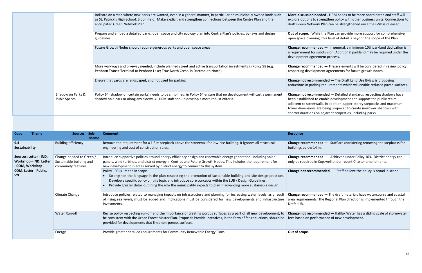|                                          | Indicate on a map where new parks are wanted, even in a general manner, in particular on municipally owned lands such<br>as St. Patrick's High School, Bloomfield. Make explicit and strengthen connections between the Centre Plan and the<br>anticipated Green Network Plan. | <b>More discussic</b><br>explore option<br>draft Green Ne                                 |
|------------------------------------------|--------------------------------------------------------------------------------------------------------------------------------------------------------------------------------------------------------------------------------------------------------------------------------|-------------------------------------------------------------------------------------------|
|                                          | Prepare and embed a detailed parks, open space and city ecology plan into Centre Plan's policies, by-laws and design<br>guidelines.                                                                                                                                            | Out of scope.<br>open space pla                                                           |
|                                          | Future Growth Nodes should require generous parks and open space areas                                                                                                                                                                                                         | <b>Change recom</b><br>a requirement<br>development a                                     |
|                                          | More walkways and bikeway needed; include planned street and active transportation investments in Policy 98 (e.g.<br>Penhorn Transit Terminal to Penhorn Lake; True North Cresc. in Dartmouth North).                                                                          | Change recom<br>respecting dev                                                            |
|                                          | Ensure that yards are landscaped, and not used for parking                                                                                                                                                                                                                     | Change not red<br>reductions in p                                                         |
| Shadow on Parks &<br><b>Pubic Spaces</b> | Policy 64 (shadow on certain parks) needs to be simplified; in Policy 64 ensure that no development will cast a permanent<br>shadow on a park or along any sidewalk. HRM staff should develop a more robust criteria.                                                          | Change not red<br>been establish<br>adjacent to stro<br>tower dimensio<br>shorter duratic |

| Code<br><b>Theme</b>                                                         | Sub-<br><b>Sources</b><br><b>Theme</b>                                     | <b>Comment</b>                                                                                                                                                                                                                                                                                                                                                                    | <b>Response</b>                                     |
|------------------------------------------------------------------------------|----------------------------------------------------------------------------|-----------------------------------------------------------------------------------------------------------------------------------------------------------------------------------------------------------------------------------------------------------------------------------------------------------------------------------------------------------------------------------|-----------------------------------------------------|
| 9.4<br>Sustainability                                                        | <b>Building efficiency</b>                                                 | Remove the requirement for a 1.5 m stepback above the streetwall for low-rise building. It ignores all structural<br>engineering and cost of construction rules.                                                                                                                                                                                                                  | <b>Change recom</b><br>buildings belov              |
| Sources: Letter - IND,<br><b>Workshop - IND, Letter</b><br>- COM, Workshop - | Change needed to Green /<br>Sustainable building and<br>community features | Introduce supportive policies around energy efficiency design and renewable energy generation, including solar<br>panels, wind turbines, and district energy in Centres and Future Growth Nodes. This includes the requirement for<br>new development in areas served by district energy to connect to this system.                                                               | Change recom<br>only be require                     |
| COM, Letter - Public,<br><b>SYC</b>                                          |                                                                            | Policy 103 is limited in scope.<br>Strengthen the language in the plan respecting the promotion of sustainable building and site design practices.<br>Develop a specific policy on this topic and introduce core concepts within the LUB / Design Guidelines.<br>Provide greater detail outlining the role the municipality expects to play in advancing more sustainable design. | Change not red                                      |
|                                                                              | Climate Change                                                             | Introduce policies related to managing impacts on infrastructure and planning for increasing water levels, as a result<br>of rising sea levels, must be added and implications must be considered for new developments and infrastructure<br>investments.                                                                                                                         | <b>Change recom</b><br>area requireme<br>Draft LUB. |
|                                                                              | Water Run-off                                                              | Revise policy respecting run-off and the importance of creating porous surfaces as a part of all new development, to<br>be consistent with the Urban Forest Master Plan. Proposal: Provide incentives, in the form of fee reductions, should be<br>provided for developments that limit non-porous surfaces.                                                                      | Change not red<br>fees based on                     |
|                                                                              | Energy                                                                     | Provide greater detailed requirements for Community Renewable Energy Plans.                                                                                                                                                                                                                                                                                                       | Out of scope.                                       |

**on needed -** HRM needs to be more coordinated and staff will is to strengthen policy with other business units. Connections to etwork Plan can be strengthened once the GNP is released.

While the Plan can provide more support for comprehensive anning, this level of detail is beyond the scope of the Plan.

**Fulture Group** and **nonetal** and **nonetally reprended**  $\frac{1}{2}$  **C** in general, a minimum 10% parkland dedication is for subdivision. Additional parkland may be required under the agreement process.

**mended** — These elements will be considered in review policy relopment agreements for future growth nodes.

commended — The Draft Land Use Bylaw is proposing rarking requirements which will enable reduced paved surfaces.

**commended** — Detailed standards respecting shadows have ed to enable development and support the public realm eetwalls. In addition, upper-storey stepbacks and maximum ions are being proposed to create narrower shadows with ons on adjacent properties, including parks.

**mended** — Staff are considering removing the stepbacks for  $v$  14 m.

**mended** — Achieved under Policy 103. District energy can ed in Cogswell under recent Charter amendments.

**Commended —** Staff believe the policy is broad in scope.

**mended** — The draft materials have watercourse and coastal ents. The Regional Plan direction is implemented through the

commended - Halifax Water has a sliding scale of stormwater performance of new development.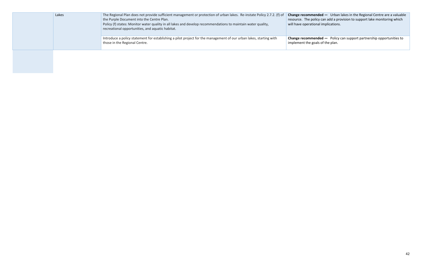|  | Lakes | The Regional Plan does not provide sufficient management or protection of urban lakes. Re-instate Policy 2.7.2. (f) of<br>the Purple Document into the Centre Plan.<br>Policy (f) states: Monitor water quality in all lakes and develop recommendations to maintain water quality,<br>recreational opportunities, and aquatic habitat. | <b>Change recomr</b><br>resource. The p<br>will have opera |
|--|-------|-----------------------------------------------------------------------------------------------------------------------------------------------------------------------------------------------------------------------------------------------------------------------------------------------------------------------------------------|------------------------------------------------------------|
|  |       | Introduce a policy statement for establishing a pilot project for the management of our urban lakes, starting with<br>those in the Regional Centre.                                                                                                                                                                                     | <b>Change recomn</b><br>implement the                      |
|  |       |                                                                                                                                                                                                                                                                                                                                         |                                                            |

**Change recommended —** Urban lakes in the Regional Centre are a valuable resource. The policy can add a provision to support lake monitoring which will have operational implications.

> **Imended —** Policy can support partnership opportunities to e goals of the plan.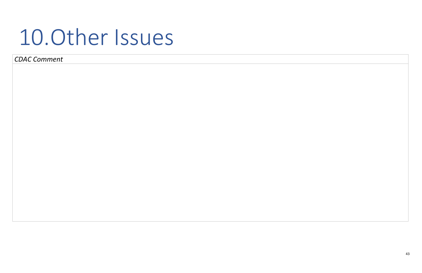43

### 10.Other Issues